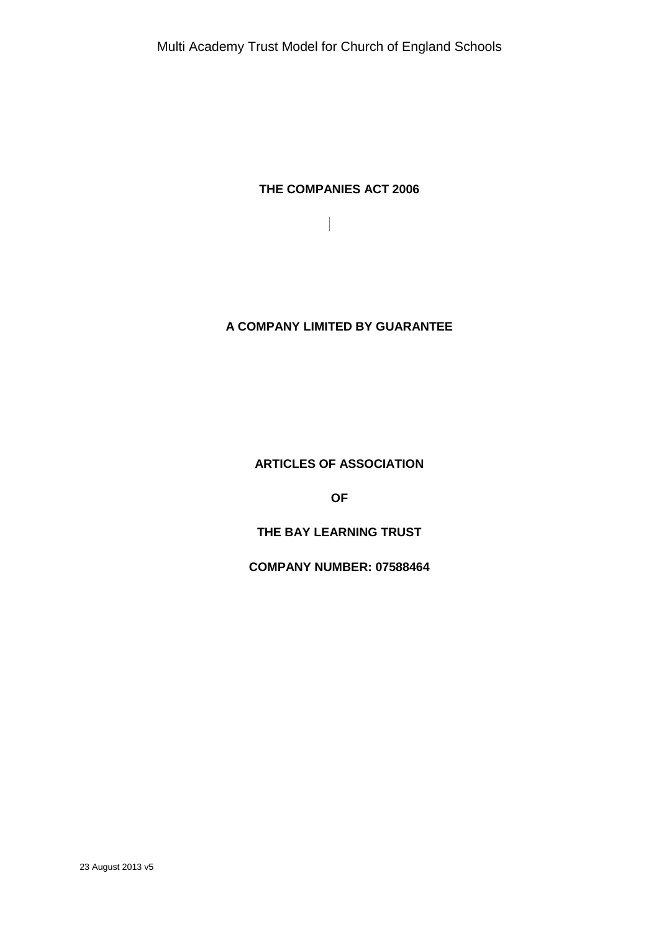## **THE COMPANIES ACT 2006**

# **A COMPANY LIMITED BY GUARANTEE**

**ARTICLES OF ASSOCIATION**

**OF**

**THE BAY LEARNING TRUST**

**COMPANY NUMBER: 07588464**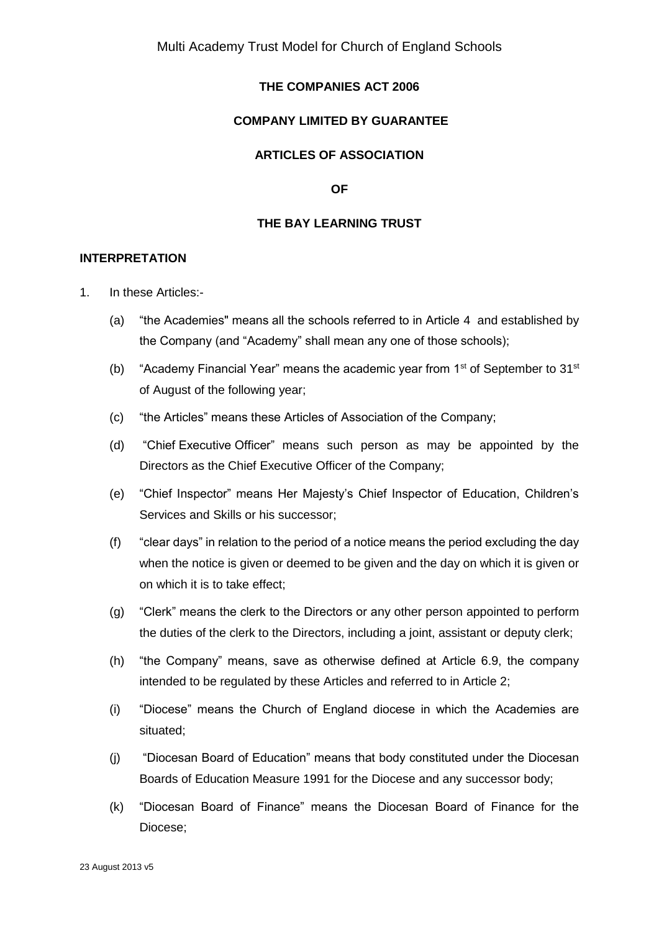## **THE COMPANIES ACT 2006**

### **COMPANY LIMITED BY GUARANTEE**

## **ARTICLES OF ASSOCIATION**

**OF**

#### **THE BAY LEARNING TRUST**

#### **INTERPRETATION**

- 1. In these Articles:-
	- (a) "the Academies" means all the schools referred to in Article 4 and established by the Company (and "Academy" shall mean any one of those schools);
	- (b) "Academy Financial Year" means the academic year from  $1<sup>st</sup>$  of September to  $31<sup>st</sup>$ of August of the following year;
	- (c) "the Articles" means these Articles of Association of the Company;
	- (d) "Chief Executive Officer" means such person as may be appointed by the Directors as the Chief Executive Officer of the Company;
	- (e) "Chief Inspector" means Her Majesty's Chief Inspector of Education, Children's Services and Skills or his successor;
	- (f) "clear days" in relation to the period of a notice means the period excluding the day when the notice is given or deemed to be given and the day on which it is given or on which it is to take effect;
	- (g) "Clerk" means the clerk to the Directors or any other person appointed to perform the duties of the clerk to the Directors, including a joint, assistant or deputy clerk;
	- (h) "the Company" means, save as otherwise defined at Article 6.9, the company intended to be regulated by these Articles and referred to in Article 2;
	- (i) "Diocese" means the Church of England diocese in which the Academies are situated;
	- (j) "Diocesan Board of Education" means that body constituted under the Diocesan Boards of Education Measure 1991 for the Diocese and any successor body;
	- (k) "Diocesan Board of Finance" means the Diocesan Board of Finance for the Diocese;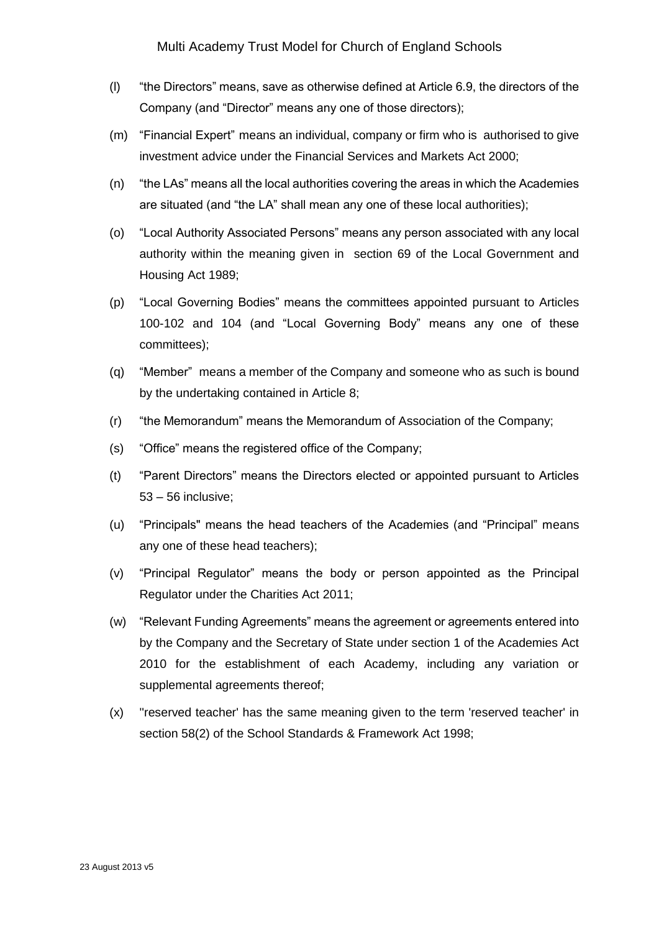- (l) "the Directors" means, save as otherwise defined at Article 6.9, the directors of the Company (and "Director" means any one of those directors);
- (m) "Financial Expert" means an individual, company or firm who is authorised to give investment advice under the Financial Services and Markets Act 2000;
- (n) "the LAs" means all the local authorities covering the areas in which the Academies are situated (and "the LA" shall mean any one of these local authorities);
- (o) "Local Authority Associated Persons" means any person associated with any local authority within the meaning given in section 69 of the Local Government and Housing Act 1989;
- (p) "Local Governing Bodies" means the committees appointed pursuant to Articles 100-102 and 104 (and "Local Governing Body" means any one of these committees);
- (q) "Member" means a member of the Company and someone who as such is bound by the undertaking contained in Article 8;
- (r) "the Memorandum" means the Memorandum of Association of the Company;
- (s) "Office" means the registered office of the Company;
- (t) "Parent Directors" means the Directors elected or appointed pursuant to Articles 53 – 56 inclusive;
- (u) "Principals" means the head teachers of the Academies (and "Principal" means any one of these head teachers);
- (v) "Principal Regulator" means the body or person appointed as the Principal Regulator under the Charities Act 2011;
- (w) "Relevant Funding Agreements" means the agreement or agreements entered into by the Company and the Secretary of State under section 1 of the Academies Act 2010 for the establishment of each Academy, including any variation or supplemental agreements thereof;
- (x) ''reserved teacher' has the same meaning given to the term 'reserved teacher' in section 58(2) of the School Standards & Framework Act 1998;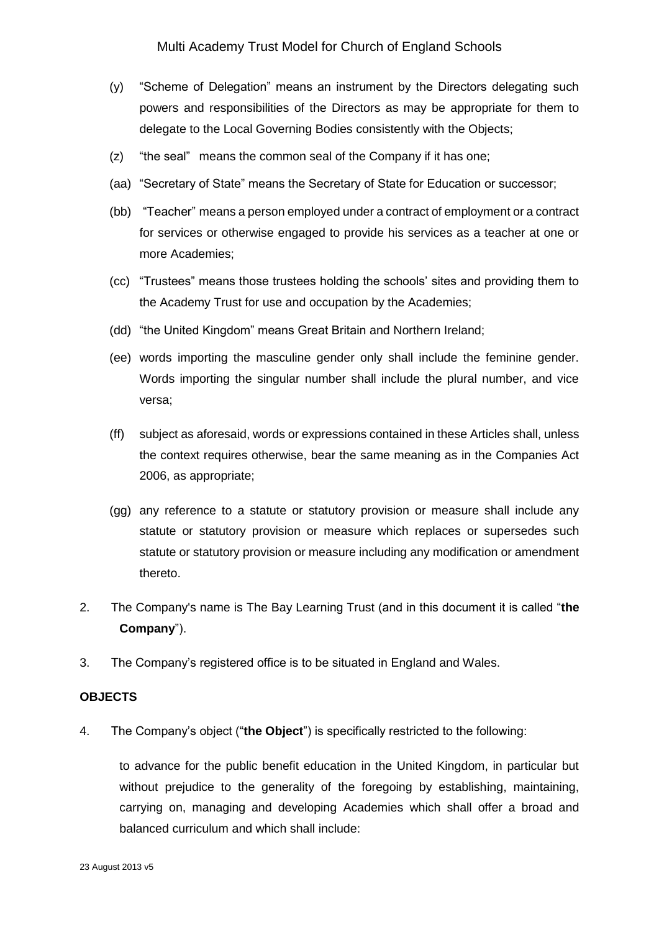- (y) "Scheme of Delegation" means an instrument by the Directors delegating such powers and responsibilities of the Directors as may be appropriate for them to delegate to the Local Governing Bodies consistently with the Objects;
- (z) "the seal" means the common seal of the Company if it has one;
- (aa) "Secretary of State" means the Secretary of State for Education or successor;
- (bb) "Teacher" means a person employed under a contract of employment or a contract for services or otherwise engaged to provide his services as a teacher at one or more Academies;
- (cc) "Trustees" means those trustees holding the schools' sites and providing them to the Academy Trust for use and occupation by the Academies;
- (dd) "the United Kingdom" means Great Britain and Northern Ireland;
- (ee) words importing the masculine gender only shall include the feminine gender. Words importing the singular number shall include the plural number, and vice versa;
- (ff) subject as aforesaid, words or expressions contained in these Articles shall, unless the context requires otherwise, bear the same meaning as in the Companies Act 2006, as appropriate;
- (gg) any reference to a statute or statutory provision or measure shall include any statute or statutory provision or measure which replaces or supersedes such statute or statutory provision or measure including any modification or amendment thereto.
- 2. The Company's name is The Bay Learning Trust (and in this document it is called "**the Company**").
- 3. The Company's registered office is to be situated in England and Wales.

#### **OBJECTS**

4. The Company's object ("**the Object**") is specifically restricted to the following:

to advance for the public benefit education in the United Kingdom, in particular but without prejudice to the generality of the foregoing by establishing, maintaining, carrying on, managing and developing Academies which shall offer a broad and balanced curriculum and which shall include: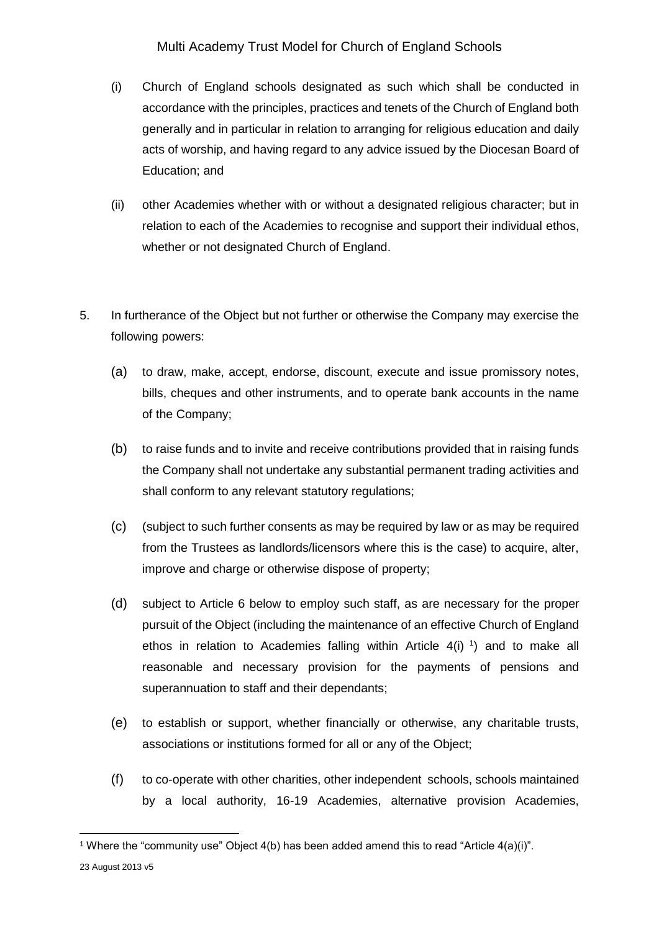- (i) Church of England schools designated as such which shall be conducted in accordance with the principles, practices and tenets of the Church of England both generally and in particular in relation to arranging for religious education and daily acts of worship, and having regard to any advice issued by the Diocesan Board of Education; and
- (ii) other Academies whether with or without a designated religious character; but in relation to each of the Academies to recognise and support their individual ethos, whether or not designated Church of England.
- 5. In furtherance of the Object but not further or otherwise the Company may exercise the following powers:
	- (a) to draw, make, accept, endorse, discount, execute and issue promissory notes, bills, cheques and other instruments, and to operate bank accounts in the name of the Company;
	- (b) to raise funds and to invite and receive contributions provided that in raising funds the Company shall not undertake any substantial permanent trading activities and shall conform to any relevant statutory regulations;
	- (c) (subject to such further consents as may be required by law or as may be required from the Trustees as landlords/licensors where this is the case) to acquire, alter, improve and charge or otherwise dispose of property;
	- (d) subject to Article 6 below to employ such staff, as are necessary for the proper pursuit of the Object (including the maintenance of an effective Church of England ethos in relation to Academies falling within Article  $4(i)$  <sup>1</sup>) and to make all reasonable and necessary provision for the payments of pensions and superannuation to staff and their dependants;
	- (e) to establish or support, whether financially or otherwise, any charitable trusts, associations or institutions formed for all or any of the Object;
	- (f) to co-operate with other charities, other independent schools, schools maintained by a local authority, 16-19 Academies, alternative provision Academies,

1

<sup>&</sup>lt;sup>1</sup> Where the "community use" Object  $4(b)$  has been added amend this to read "Article  $4(a)(i)$ ".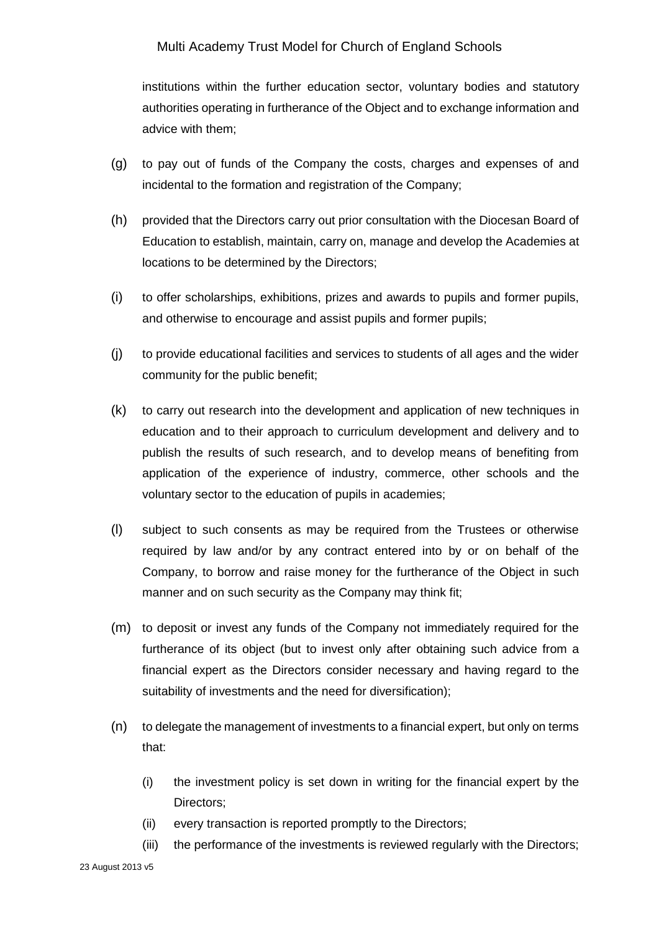institutions within the further education sector, voluntary bodies and statutory authorities operating in furtherance of the Object and to exchange information and advice with them;

- (g) to pay out of funds of the Company the costs, charges and expenses of and incidental to the formation and registration of the Company;
- (h) provided that the Directors carry out prior consultation with the Diocesan Board of Education to establish, maintain, carry on, manage and develop the Academies at locations to be determined by the Directors;
- (i) to offer scholarships, exhibitions, prizes and awards to pupils and former pupils, and otherwise to encourage and assist pupils and former pupils;
- (j) to provide educational facilities and services to students of all ages and the wider community for the public benefit;
- (k) to carry out research into the development and application of new techniques in education and to their approach to curriculum development and delivery and to publish the results of such research, and to develop means of benefiting from application of the experience of industry, commerce, other schools and the voluntary sector to the education of pupils in academies;
- (l) subject to such consents as may be required from the Trustees or otherwise required by law and/or by any contract entered into by or on behalf of the Company, to borrow and raise money for the furtherance of the Object in such manner and on such security as the Company may think fit;
- (m) to deposit or invest any funds of the Company not immediately required for the furtherance of its object (but to invest only after obtaining such advice from a financial expert as the Directors consider necessary and having regard to the suitability of investments and the need for diversification);
- (n) to delegate the management of investments to a financial expert, but only on terms that:
	- (i) the investment policy is set down in writing for the financial expert by the Directors;
	- (ii) every transaction is reported promptly to the Directors;
	- (iii) the performance of the investments is reviewed regularly with the Directors;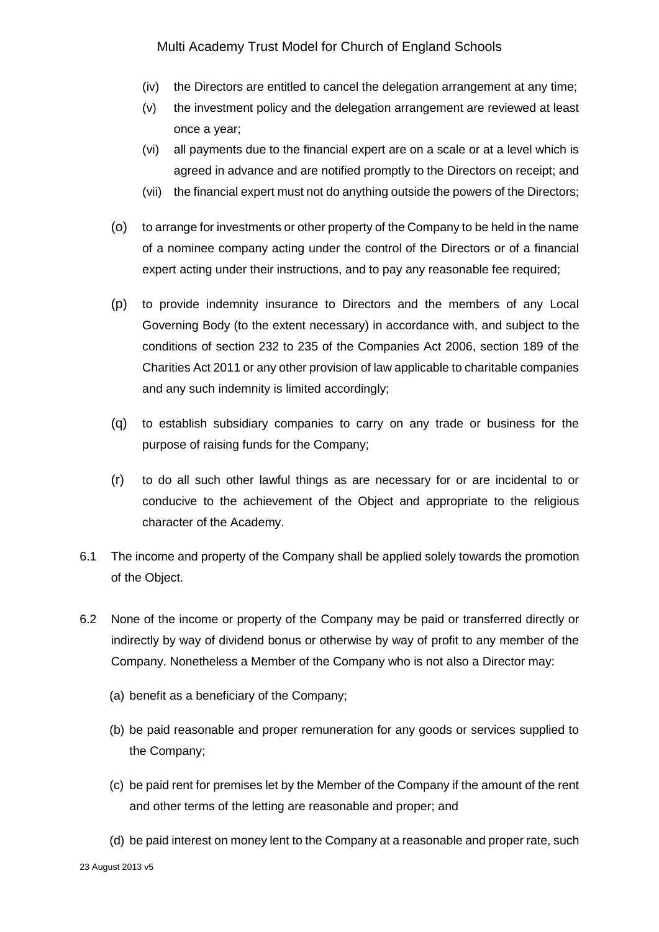- (iv) the Directors are entitled to cancel the delegation arrangement at any time;
- (v) the investment policy and the delegation arrangement are reviewed at least once a year;
- (vi) all payments due to the financial expert are on a scale or at a level which is agreed in advance and are notified promptly to the Directors on receipt; and
- (vii) the financial expert must not do anything outside the powers of the Directors;
- (o) to arrange for investments or other property of the Company to be held in the name of a nominee company acting under the control of the Directors or of a financial expert acting under their instructions, and to pay any reasonable fee required;
- (p) to provide indemnity insurance to Directors and the members of any Local Governing Body (to the extent necessary) in accordance with, and subject to the conditions of section 232 to 235 of the Companies Act 2006, section 189 of the Charities Act 2011 or any other provision of law applicable to charitable companies and any such indemnity is limited accordingly;
- (q) to establish subsidiary companies to carry on any trade or business for the purpose of raising funds for the Company;
- (r) to do all such other lawful things as are necessary for or are incidental to or conducive to the achievement of the Object and appropriate to the religious character of the Academy.
- 6.1 The income and property of the Company shall be applied solely towards the promotion of the Object.
- 6.2 None of the income or property of the Company may be paid or transferred directly or indirectly by way of dividend bonus or otherwise by way of profit to any member of the Company. Nonetheless a Member of the Company who is not also a Director may:
	- (a) benefit as a beneficiary of the Company;
	- (b) be paid reasonable and proper remuneration for any goods or services supplied to the Company;
	- (c) be paid rent for premises let by the Member of the Company if the amount of the rent and other terms of the letting are reasonable and proper; and
	- (d) be paid interest on money lent to the Company at a reasonable and proper rate, such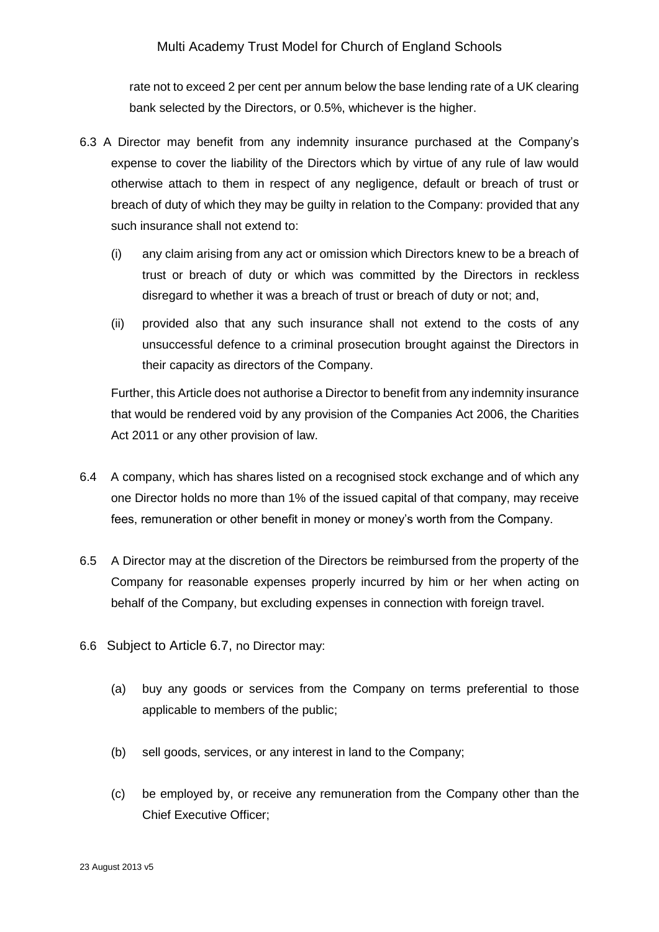rate not to exceed 2 per cent per annum below the base lending rate of a UK clearing bank selected by the Directors, or 0.5%, whichever is the higher.

- 6.3 A Director may benefit from any indemnity insurance purchased at the Company's expense to cover the liability of the Directors which by virtue of any rule of law would otherwise attach to them in respect of any negligence, default or breach of trust or breach of duty of which they may be guilty in relation to the Company: provided that any such insurance shall not extend to:
	- (i) any claim arising from any act or omission which Directors knew to be a breach of trust or breach of duty or which was committed by the Directors in reckless disregard to whether it was a breach of trust or breach of duty or not; and,
	- (ii) provided also that any such insurance shall not extend to the costs of any unsuccessful defence to a criminal prosecution brought against the Directors in their capacity as directors of the Company.

Further, this Article does not authorise a Director to benefit from any indemnity insurance that would be rendered void by any provision of the Companies Act 2006, the Charities Act 2011 or any other provision of law.

- 6.4 A company, which has shares listed on a recognised stock exchange and of which any one Director holds no more than 1% of the issued capital of that company, may receive fees, remuneration or other benefit in money or money's worth from the Company.
- 6.5 A Director may at the discretion of the Directors be reimbursed from the property of the Company for reasonable expenses properly incurred by him or her when acting on behalf of the Company, but excluding expenses in connection with foreign travel.
- 6.6 Subject to Article 6.7, no Director may:
	- (a) buy any goods or services from the Company on terms preferential to those applicable to members of the public;
	- (b) sell goods, services, or any interest in land to the Company;
	- (c) be employed by, or receive any remuneration from the Company other than the Chief Executive Officer;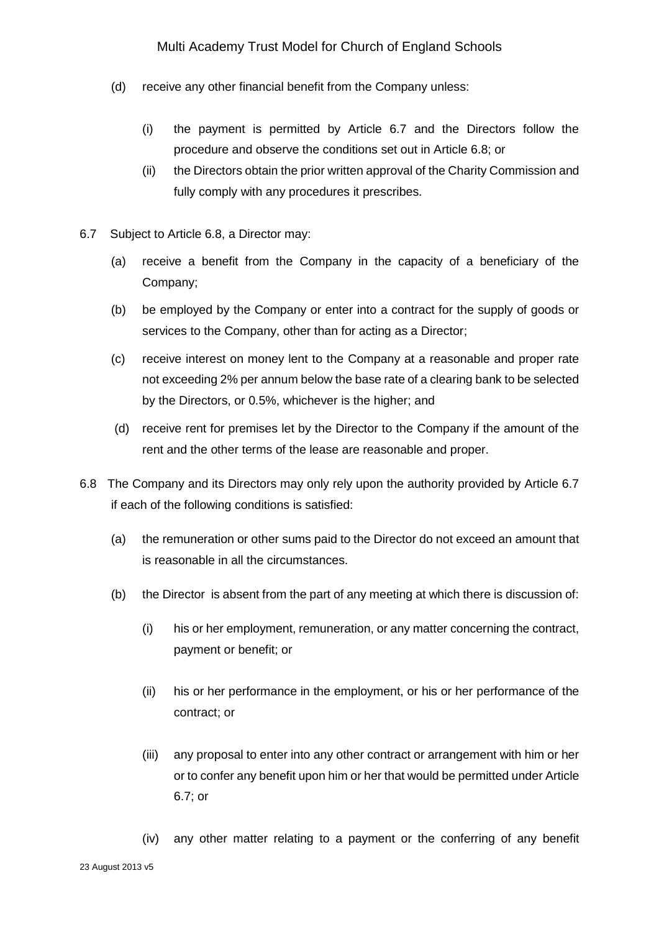- (d) receive any other financial benefit from the Company unless:
	- (i) the payment is permitted by Article 6.7 and the Directors follow the procedure and observe the conditions set out in Article 6.8; or
	- (ii) the Directors obtain the prior written approval of the Charity Commission and fully comply with any procedures it prescribes.
- 6.7 Subject to Article 6.8, a Director may:
	- (a) receive a benefit from the Company in the capacity of a beneficiary of the Company;
	- (b) be employed by the Company or enter into a contract for the supply of goods or services to the Company, other than for acting as a Director;
	- (c) receive interest on money lent to the Company at a reasonable and proper rate not exceeding 2% per annum below the base rate of a clearing bank to be selected by the Directors, or 0.5%, whichever is the higher; and
	- (d) receive rent for premises let by the Director to the Company if the amount of the rent and the other terms of the lease are reasonable and proper.
- 6.8 The Company and its Directors may only rely upon the authority provided by Article 6.7 if each of the following conditions is satisfied:
	- (a) the remuneration or other sums paid to the Director do not exceed an amount that is reasonable in all the circumstances.
	- (b) the Director is absent from the part of any meeting at which there is discussion of:
		- (i) his or her employment, remuneration, or any matter concerning the contract, payment or benefit; or
		- (ii) his or her performance in the employment, or his or her performance of the contract; or
		- (iii) any proposal to enter into any other contract or arrangement with him or her or to confer any benefit upon him or her that would be permitted under Article 6.7; or
		- (iv) any other matter relating to a payment or the conferring of any benefit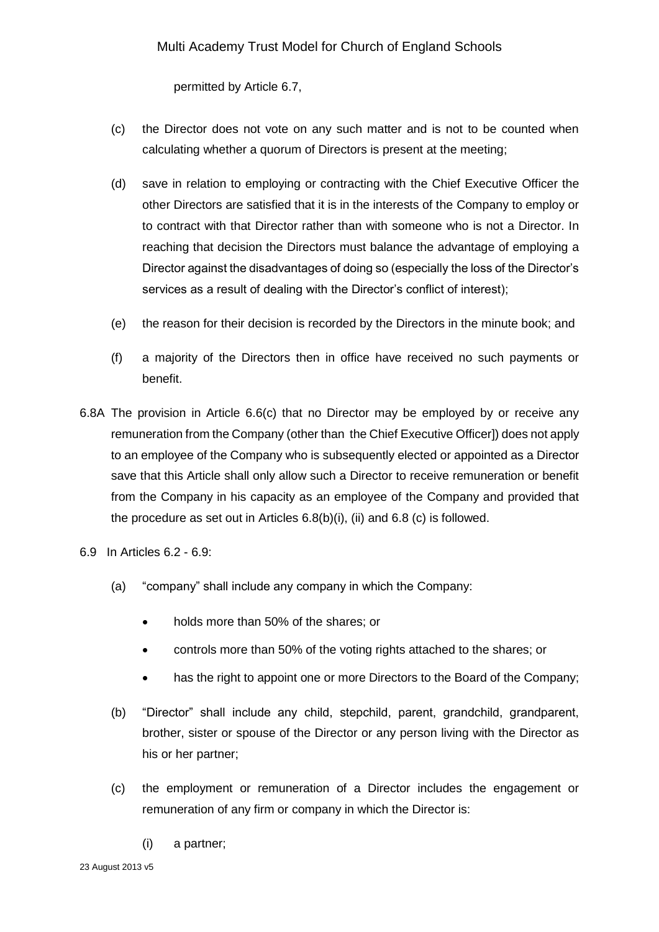permitted by Article 6.7,

- (c) the Director does not vote on any such matter and is not to be counted when calculating whether a quorum of Directors is present at the meeting;
- (d) save in relation to employing or contracting with the Chief Executive Officer the other Directors are satisfied that it is in the interests of the Company to employ or to contract with that Director rather than with someone who is not a Director. In reaching that decision the Directors must balance the advantage of employing a Director against the disadvantages of doing so (especially the loss of the Director's services as a result of dealing with the Director's conflict of interest);
- (e) the reason for their decision is recorded by the Directors in the minute book; and
- (f) a majority of the Directors then in office have received no such payments or benefit.
- 6.8A The provision in Article 6.6(c) that no Director may be employed by or receive any remuneration from the Company (other than the Chief Executive Officer]) does not apply to an employee of the Company who is subsequently elected or appointed as a Director save that this Article shall only allow such a Director to receive remuneration or benefit from the Company in his capacity as an employee of the Company and provided that the procedure as set out in Articles 6.8(b)(i), (ii) and 6.8 (c) is followed.

6.9 In Articles 6.2 - 6.9:

- (a) "company" shall include any company in which the Company:
	- holds more than 50% of the shares; or
	- controls more than 50% of the voting rights attached to the shares; or
	- has the right to appoint one or more Directors to the Board of the Company;
- (b) "Director" shall include any child, stepchild, parent, grandchild, grandparent, brother, sister or spouse of the Director or any person living with the Director as his or her partner;
- (c) the employment or remuneration of a Director includes the engagement or remuneration of any firm or company in which the Director is:
	- (i) a partner;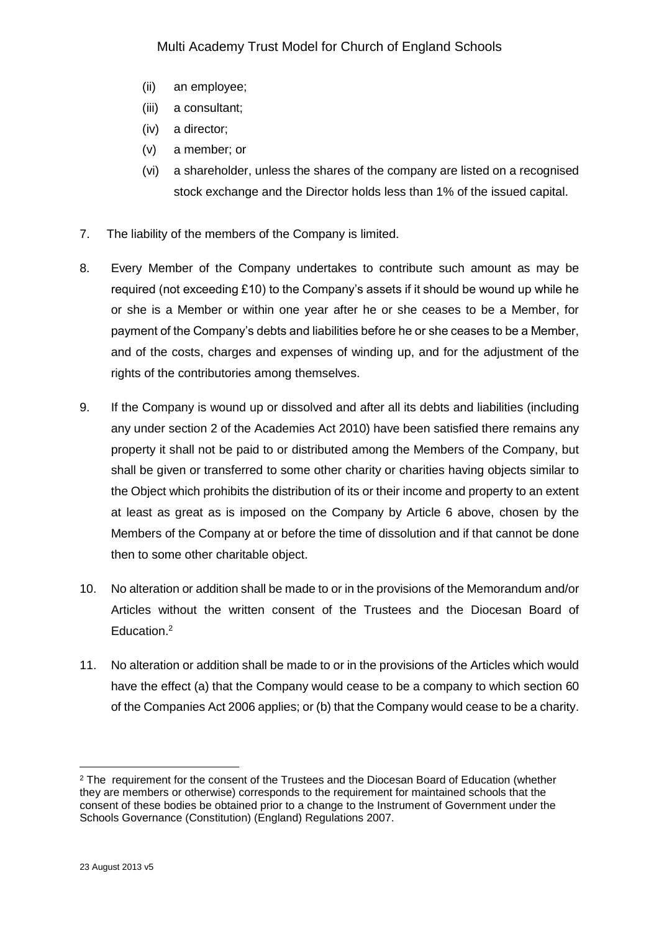- (ii) an employee;
- (iii) a consultant;
- (iv) a director;
- (v) a member; or
- (vi) a shareholder, unless the shares of the company are listed on a recognised stock exchange and the Director holds less than 1% of the issued capital.
- 7. The liability of the members of the Company is limited.
- 8. Every Member of the Company undertakes to contribute such amount as may be required (not exceeding £10) to the Company's assets if it should be wound up while he or she is a Member or within one year after he or she ceases to be a Member, for payment of the Company's debts and liabilities before he or she ceases to be a Member, and of the costs, charges and expenses of winding up, and for the adjustment of the rights of the contributories among themselves.
- 9. If the Company is wound up or dissolved and after all its debts and liabilities (including any under section 2 of the Academies Act 2010) have been satisfied there remains any property it shall not be paid to or distributed among the Members of the Company, but shall be given or transferred to some other charity or charities having objects similar to the Object which prohibits the distribution of its or their income and property to an extent at least as great as is imposed on the Company by Article 6 above, chosen by the Members of the Company at or before the time of dissolution and if that cannot be done then to some other charitable object.
- 10. No alteration or addition shall be made to or in the provisions of the Memorandum and/or Articles without the written consent of the Trustees and the Diocesan Board of Education.<sup>2</sup>
- 11. No alteration or addition shall be made to or in the provisions of the Articles which would have the effect (a) that the Company would cease to be a company to which section 60 of the Companies Act 2006 applies; or (b) that the Company would cease to be a charity.

1

<sup>&</sup>lt;sup>2</sup> The requirement for the consent of the Trustees and the Diocesan Board of Education (whether they are members or otherwise) corresponds to the requirement for maintained schools that the consent of these bodies be obtained prior to a change to the Instrument of Government under the Schools Governance (Constitution) (England) Regulations 2007.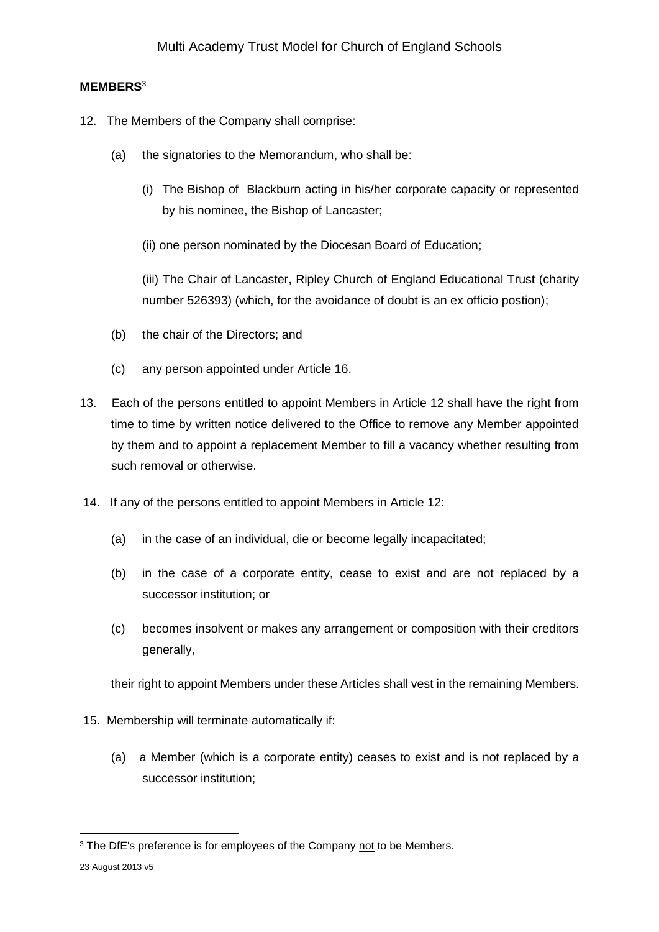## **MEMBERS**<sup>3</sup>

- 12. The Members of the Company shall comprise:
	- (a) the signatories to the Memorandum, who shall be:
		- (i) The Bishop of Blackburn acting in his/her corporate capacity or represented by his nominee, the Bishop of Lancaster;
		- (ii) one person nominated by the Diocesan Board of Education;

(iii) The Chair of Lancaster, Ripley Church of England Educational Trust (charity number 526393) (which, for the avoidance of doubt is an ex officio postion);

- (b) the chair of the Directors; and
- (c) any person appointed under Article 16.
- 13. Each of the persons entitled to appoint Members in Article 12 shall have the right from time to time by written notice delivered to the Office to remove any Member appointed by them and to appoint a replacement Member to fill a vacancy whether resulting from such removal or otherwise.
- 14. If any of the persons entitled to appoint Members in Article 12:
	- (a) in the case of an individual, die or become legally incapacitated;
	- (b) in the case of a corporate entity, cease to exist and are not replaced by a successor institution; or
	- (c) becomes insolvent or makes any arrangement or composition with their creditors generally,

their right to appoint Members under these Articles shall vest in the remaining Members.

- 15. Membership will terminate automatically if:
	- (a) a Member (which is a corporate entity) ceases to exist and is not replaced by a successor institution;

<sup>1</sup> <sup>3</sup> The DfE's preference is for employees of the Company not to be Members.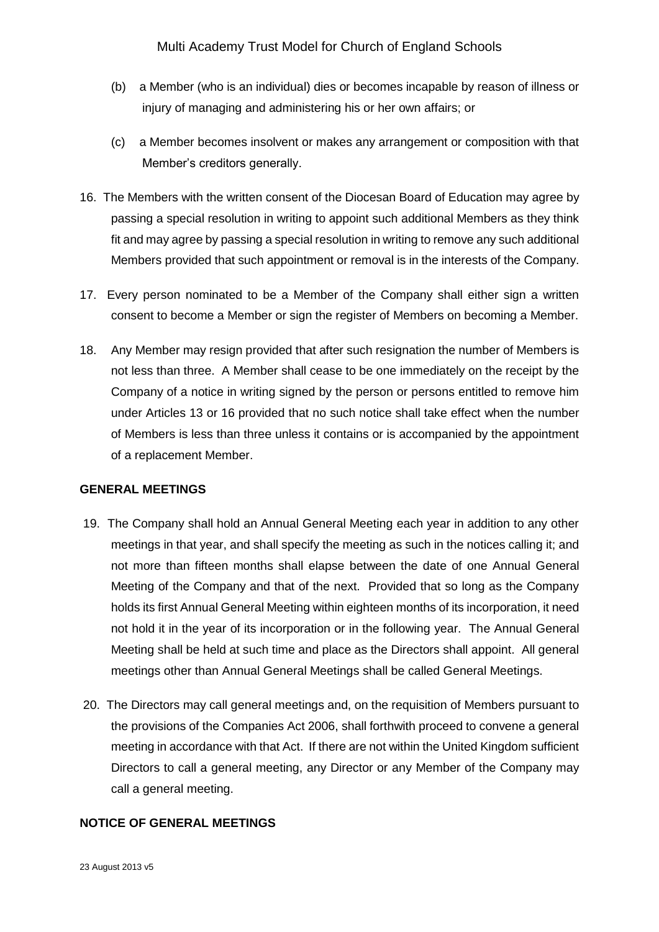- (b) a Member (who is an individual) dies or becomes incapable by reason of illness or injury of managing and administering his or her own affairs; or
- (c) a Member becomes insolvent or makes any arrangement or composition with that Member's creditors generally.
- 16. The Members with the written consent of the Diocesan Board of Education may agree by passing a special resolution in writing to appoint such additional Members as they think fit and may agree by passing a special resolution in writing to remove any such additional Members provided that such appointment or removal is in the interests of the Company.
- 17. Every person nominated to be a Member of the Company shall either sign a written consent to become a Member or sign the register of Members on becoming a Member.
- 18. Any Member may resign provided that after such resignation the number of Members is not less than three. A Member shall cease to be one immediately on the receipt by the Company of a notice in writing signed by the person or persons entitled to remove him under Articles 13 or 16 provided that no such notice shall take effect when the number of Members is less than three unless it contains or is accompanied by the appointment of a replacement Member.

### **GENERAL MEETINGS**

- 19. The Company shall hold an Annual General Meeting each year in addition to any other meetings in that year, and shall specify the meeting as such in the notices calling it; and not more than fifteen months shall elapse between the date of one Annual General Meeting of the Company and that of the next. Provided that so long as the Company holds its first Annual General Meeting within eighteen months of its incorporation, it need not hold it in the year of its incorporation or in the following year. The Annual General Meeting shall be held at such time and place as the Directors shall appoint. All general meetings other than Annual General Meetings shall be called General Meetings.
- 20. The Directors may call general meetings and, on the requisition of Members pursuant to the provisions of the Companies Act 2006, shall forthwith proceed to convene a general meeting in accordance with that Act. If there are not within the United Kingdom sufficient Directors to call a general meeting, any Director or any Member of the Company may call a general meeting.

### **NOTICE OF GENERAL MEETINGS**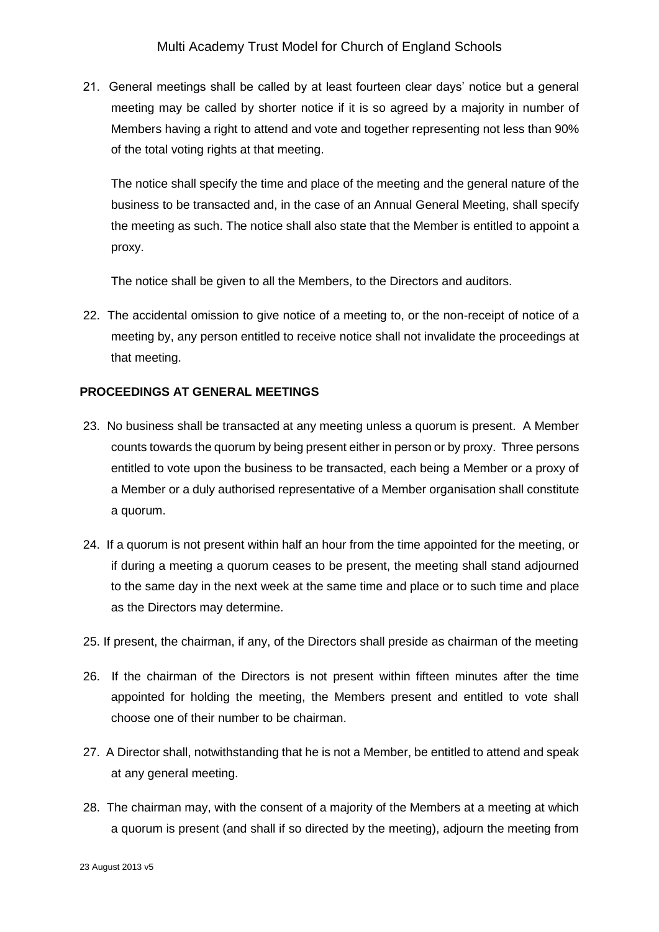21. General meetings shall be called by at least fourteen clear days' notice but a general meeting may be called by shorter notice if it is so agreed by a majority in number of Members having a right to attend and vote and together representing not less than 90% of the total voting rights at that meeting.

The notice shall specify the time and place of the meeting and the general nature of the business to be transacted and, in the case of an Annual General Meeting, shall specify the meeting as such. The notice shall also state that the Member is entitled to appoint a proxy.

The notice shall be given to all the Members, to the Directors and auditors.

22. The accidental omission to give notice of a meeting to, or the non-receipt of notice of a meeting by, any person entitled to receive notice shall not invalidate the proceedings at that meeting.

### **PROCEEDINGS AT GENERAL MEETINGS**

- 23. No business shall be transacted at any meeting unless a quorum is present. A Member counts towards the quorum by being present either in person or by proxy. Three persons entitled to vote upon the business to be transacted, each being a Member or a proxy of a Member or a duly authorised representative of a Member organisation shall constitute a quorum.
- 24. If a quorum is not present within half an hour from the time appointed for the meeting, or if during a meeting a quorum ceases to be present, the meeting shall stand adjourned to the same day in the next week at the same time and place or to such time and place as the Directors may determine.
- 25. If present, the chairman, if any, of the Directors shall preside as chairman of the meeting
- 26. If the chairman of the Directors is not present within fifteen minutes after the time appointed for holding the meeting, the Members present and entitled to vote shall choose one of their number to be chairman.
- 27. A Director shall, notwithstanding that he is not a Member, be entitled to attend and speak at any general meeting.
- 28. The chairman may, with the consent of a majority of the Members at a meeting at which a quorum is present (and shall if so directed by the meeting), adjourn the meeting from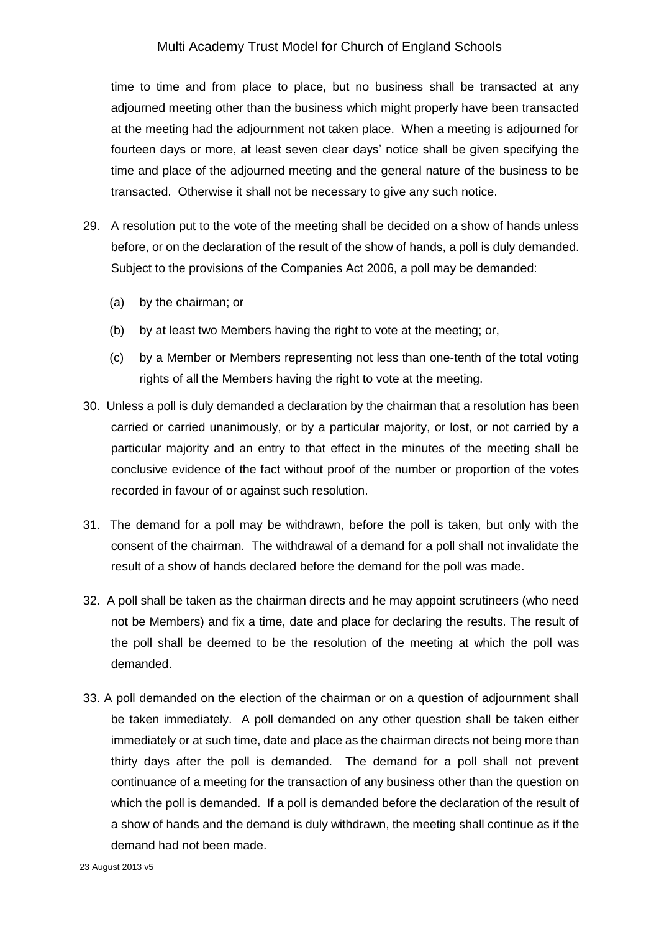time to time and from place to place, but no business shall be transacted at any adjourned meeting other than the business which might properly have been transacted at the meeting had the adjournment not taken place. When a meeting is adjourned for fourteen days or more, at least seven clear days' notice shall be given specifying the time and place of the adjourned meeting and the general nature of the business to be transacted. Otherwise it shall not be necessary to give any such notice.

- 29. A resolution put to the vote of the meeting shall be decided on a show of hands unless before, or on the declaration of the result of the show of hands, a poll is duly demanded. Subject to the provisions of the Companies Act 2006, a poll may be demanded:
	- (a) by the chairman; or
	- (b) by at least two Members having the right to vote at the meeting; or,
	- (c) by a Member or Members representing not less than one-tenth of the total voting rights of all the Members having the right to vote at the meeting.
- 30. Unless a poll is duly demanded a declaration by the chairman that a resolution has been carried or carried unanimously, or by a particular majority, or lost, or not carried by a particular majority and an entry to that effect in the minutes of the meeting shall be conclusive evidence of the fact without proof of the number or proportion of the votes recorded in favour of or against such resolution.
- 31. The demand for a poll may be withdrawn, before the poll is taken, but only with the consent of the chairman. The withdrawal of a demand for a poll shall not invalidate the result of a show of hands declared before the demand for the poll was made.
- 32. A poll shall be taken as the chairman directs and he may appoint scrutineers (who need not be Members) and fix a time, date and place for declaring the results. The result of the poll shall be deemed to be the resolution of the meeting at which the poll was demanded.
- 33. A poll demanded on the election of the chairman or on a question of adjournment shall be taken immediately. A poll demanded on any other question shall be taken either immediately or at such time, date and place as the chairman directs not being more than thirty days after the poll is demanded. The demand for a poll shall not prevent continuance of a meeting for the transaction of any business other than the question on which the poll is demanded. If a poll is demanded before the declaration of the result of a show of hands and the demand is duly withdrawn, the meeting shall continue as if the demand had not been made.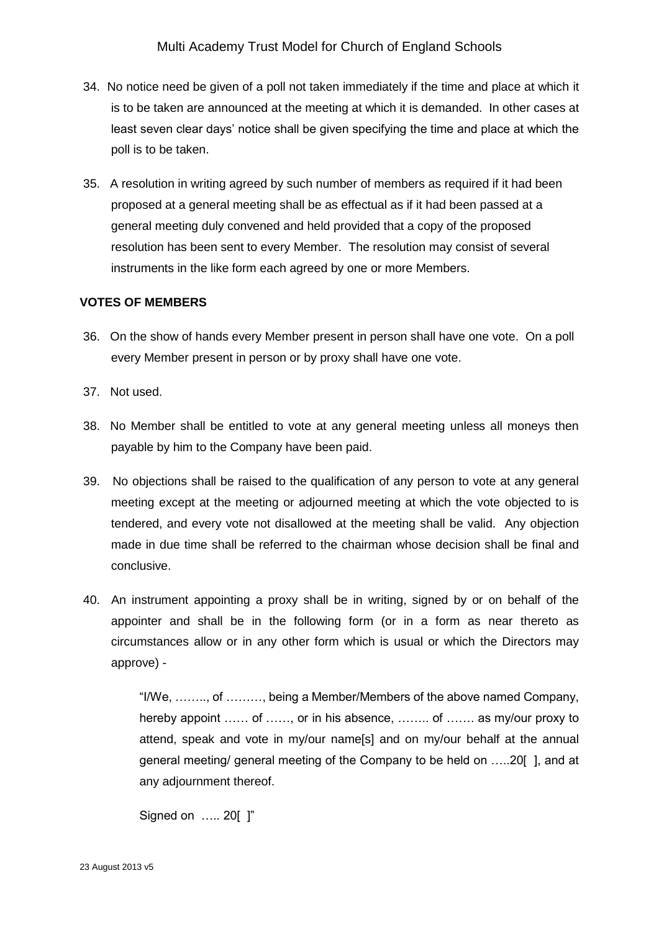- 34. No notice need be given of a poll not taken immediately if the time and place at which it is to be taken are announced at the meeting at which it is demanded. In other cases at least seven clear days' notice shall be given specifying the time and place at which the poll is to be taken.
- 35. A resolution in writing agreed by such number of members as required if it had been proposed at a general meeting shall be as effectual as if it had been passed at a general meeting duly convened and held provided that a copy of the proposed resolution has been sent to every Member. The resolution may consist of several instruments in the like form each agreed by one or more Members.

### **VOTES OF MEMBERS**

- 36. On the show of hands every Member present in person shall have one vote. On a poll every Member present in person or by proxy shall have one vote.
- 37. Not used.
- 38. No Member shall be entitled to vote at any general meeting unless all moneys then payable by him to the Company have been paid.
- 39. No objections shall be raised to the qualification of any person to vote at any general meeting except at the meeting or adjourned meeting at which the vote objected to is tendered, and every vote not disallowed at the meeting shall be valid. Any objection made in due time shall be referred to the chairman whose decision shall be final and conclusive.
- 40. An instrument appointing a proxy shall be in writing, signed by or on behalf of the appointer and shall be in the following form (or in a form as near thereto as circumstances allow or in any other form which is usual or which the Directors may approve) -

"I/We, …….., of ………, being a Member/Members of the above named Company, hereby appoint …… of ……, or in his absence, ……… of …… as my/our proxy to attend, speak and vote in my/our name[s] and on my/our behalf at the annual general meeting/ general meeting of the Company to be held on …..20[ ], and at any adjournment thereof.

```
Signed on ….. 20[ ]"
```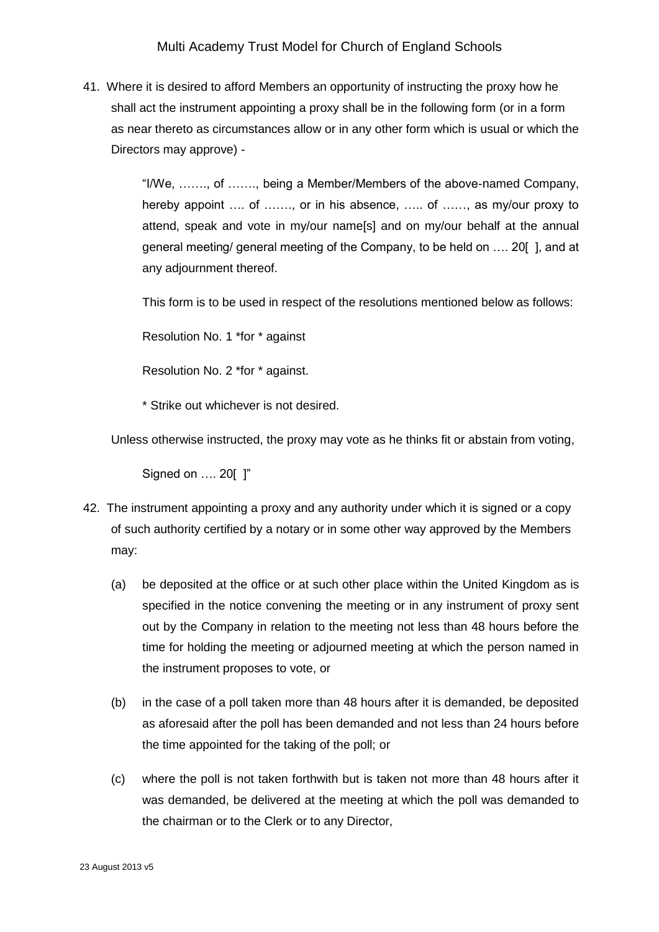41. Where it is desired to afford Members an opportunity of instructing the proxy how he shall act the instrument appointing a proxy shall be in the following form (or in a form as near thereto as circumstances allow or in any other form which is usual or which the Directors may approve) -

> "I/We, ……., of ……., being a Member/Members of the above-named Company, hereby appoint .... of ......., or in his absence, ..... of ......, as my/our proxy to attend, speak and vote in my/our name[s] and on my/our behalf at the annual general meeting/ general meeting of the Company, to be held on …. 20[ ], and at any adjournment thereof.

This form is to be used in respect of the resolutions mentioned below as follows:

Resolution No. 1 \*for \* against

Resolution No. 2 \*for \* against.

\* Strike out whichever is not desired.

Unless otherwise instructed, the proxy may vote as he thinks fit or abstain from voting,

Signed on …. 20[ ]"

- 42. The instrument appointing a proxy and any authority under which it is signed or a copy of such authority certified by a notary or in some other way approved by the Members may:
	- (a) be deposited at the office or at such other place within the United Kingdom as is specified in the notice convening the meeting or in any instrument of proxy sent out by the Company in relation to the meeting not less than 48 hours before the time for holding the meeting or adjourned meeting at which the person named in the instrument proposes to vote, or
	- (b) in the case of a poll taken more than 48 hours after it is demanded, be deposited as aforesaid after the poll has been demanded and not less than 24 hours before the time appointed for the taking of the poll; or
	- (c) where the poll is not taken forthwith but is taken not more than 48 hours after it was demanded, be delivered at the meeting at which the poll was demanded to the chairman or to the Clerk or to any Director,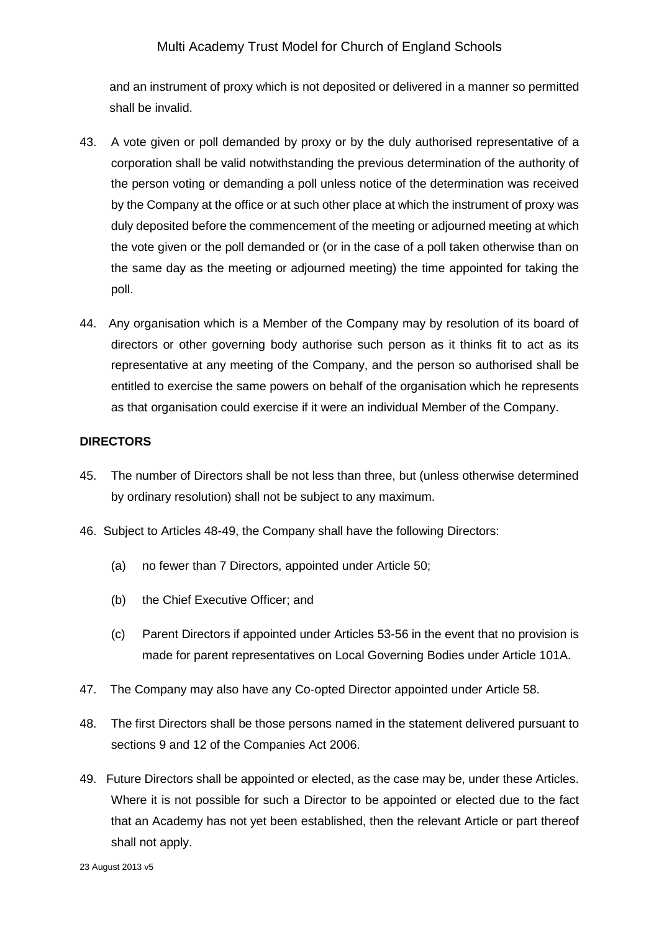and an instrument of proxy which is not deposited or delivered in a manner so permitted shall be invalid.

- 43. A vote given or poll demanded by proxy or by the duly authorised representative of a corporation shall be valid notwithstanding the previous determination of the authority of the person voting or demanding a poll unless notice of the determination was received by the Company at the office or at such other place at which the instrument of proxy was duly deposited before the commencement of the meeting or adjourned meeting at which the vote given or the poll demanded or (or in the case of a poll taken otherwise than on the same day as the meeting or adjourned meeting) the time appointed for taking the poll.
- 44. Any organisation which is a Member of the Company may by resolution of its board of directors or other governing body authorise such person as it thinks fit to act as its representative at any meeting of the Company, and the person so authorised shall be entitled to exercise the same powers on behalf of the organisation which he represents as that organisation could exercise if it were an individual Member of the Company.

### **DIRECTORS**

- 45. The number of Directors shall be not less than three, but (unless otherwise determined by ordinary resolution) shall not be subject to any maximum.
- 46. Subject to Articles 48-49, the Company shall have the following Directors:
	- (a) no fewer than 7 Directors, appointed under Article 50;
	- (b) the Chief Executive Officer; and
	- (c) Parent Directors if appointed under Articles 53-56 in the event that no provision is made for parent representatives on Local Governing Bodies under Article 101A.
- 47. The Company may also have any Co-opted Director appointed under Article 58.
- 48. The first Directors shall be those persons named in the statement delivered pursuant to sections 9 and 12 of the Companies Act 2006.
- 49. Future Directors shall be appointed or elected, as the case may be, under these Articles. Where it is not possible for such a Director to be appointed or elected due to the fact that an Academy has not yet been established, then the relevant Article or part thereof shall not apply.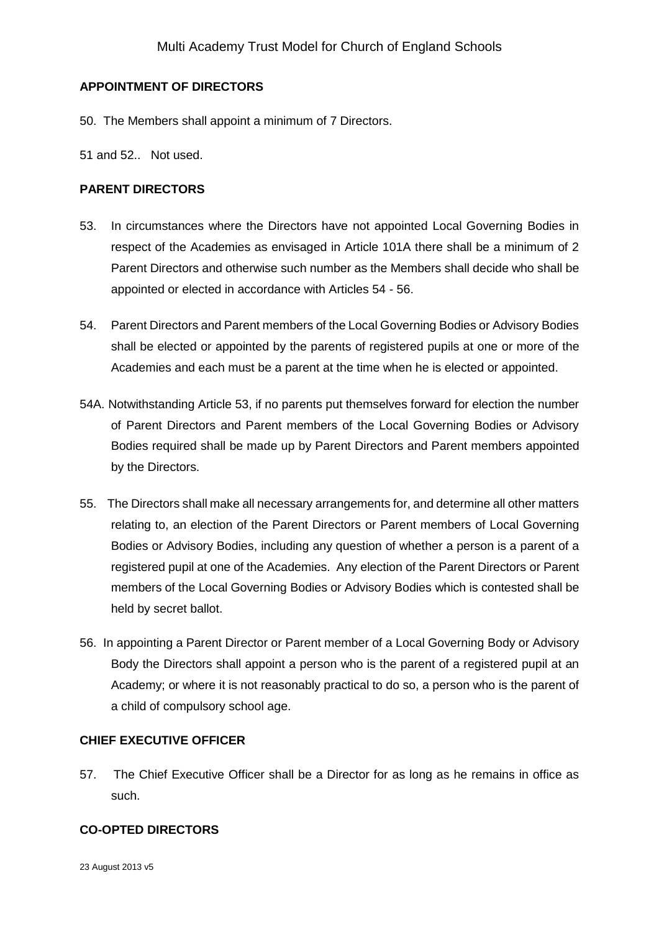## **APPOINTMENT OF DIRECTORS**

- 50. The Members shall appoint a minimum of 7 Directors.
- 51 and 52.. Not used.

## **PARENT DIRECTORS**

- 53. In circumstances where the Directors have not appointed Local Governing Bodies in respect of the Academies as envisaged in Article 101A there shall be a minimum of 2 Parent Directors and otherwise such number as the Members shall decide who shall be appointed or elected in accordance with Articles 54 - 56.
- 54. Parent Directors and Parent members of the Local Governing Bodies or Advisory Bodies shall be elected or appointed by the parents of registered pupils at one or more of the Academies and each must be a parent at the time when he is elected or appointed.
- 54A. Notwithstanding Article 53, if no parents put themselves forward for election the number of Parent Directors and Parent members of the Local Governing Bodies or Advisory Bodies required shall be made up by Parent Directors and Parent members appointed by the Directors.
- 55. The Directors shall make all necessary arrangements for, and determine all other matters relating to, an election of the Parent Directors or Parent members of Local Governing Bodies or Advisory Bodies, including any question of whether a person is a parent of a registered pupil at one of the Academies. Any election of the Parent Directors or Parent members of the Local Governing Bodies or Advisory Bodies which is contested shall be held by secret ballot.
- 56. In appointing a Parent Director or Parent member of a Local Governing Body or Advisory Body the Directors shall appoint a person who is the parent of a registered pupil at an Academy; or where it is not reasonably practical to do so, a person who is the parent of a child of compulsory school age.

### **CHIEF EXECUTIVE OFFICER**

57. The Chief Executive Officer shall be a Director for as long as he remains in office as such.

### **CO-OPTED DIRECTORS**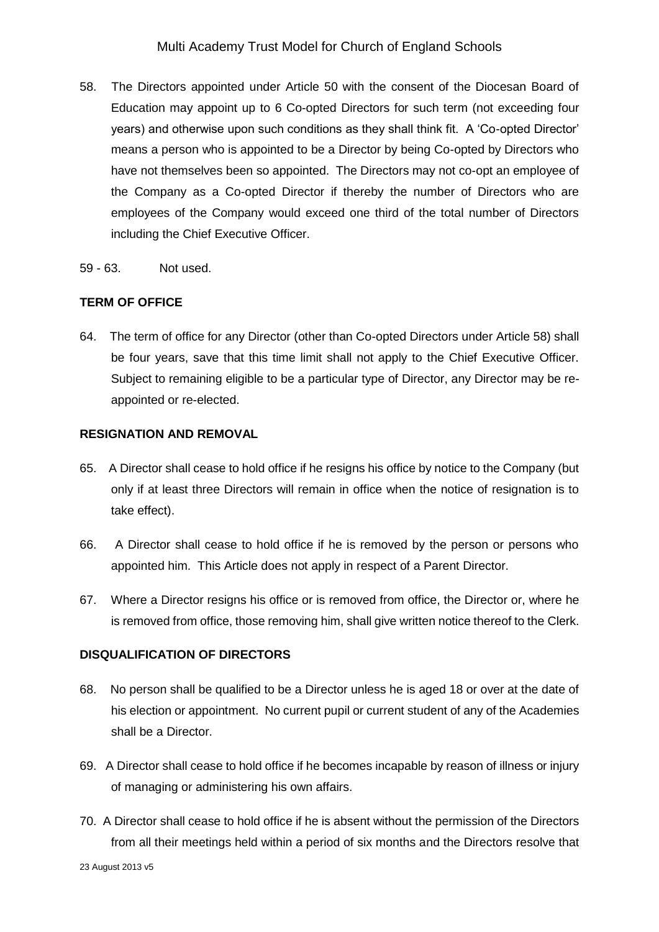- 58. The Directors appointed under Article 50 with the consent of the Diocesan Board of Education may appoint up to 6 Co-opted Directors for such term (not exceeding four years) and otherwise upon such conditions as they shall think fit. A 'Co-opted Director' means a person who is appointed to be a Director by being Co-opted by Directors who have not themselves been so appointed. The Directors may not co-opt an employee of the Company as a Co-opted Director if thereby the number of Directors who are employees of the Company would exceed one third of the total number of Directors including the Chief Executive Officer.
- 59 63. Not used.

## **TERM OF OFFICE**

64. The term of office for any Director (other than Co-opted Directors under Article 58) shall be four years, save that this time limit shall not apply to the Chief Executive Officer. Subject to remaining eligible to be a particular type of Director, any Director may be reappointed or re-elected.

### **RESIGNATION AND REMOVAL**

- 65. A Director shall cease to hold office if he resigns his office by notice to the Company (but only if at least three Directors will remain in office when the notice of resignation is to take effect).
- 66. A Director shall cease to hold office if he is removed by the person or persons who appointed him. This Article does not apply in respect of a Parent Director.
- 67. Where a Director resigns his office or is removed from office, the Director or, where he is removed from office, those removing him, shall give written notice thereof to the Clerk.

### **DISQUALIFICATION OF DIRECTORS**

- 68. No person shall be qualified to be a Director unless he is aged 18 or over at the date of his election or appointment. No current pupil or current student of any of the Academies shall be a Director.
- 69. A Director shall cease to hold office if he becomes incapable by reason of illness or injury of managing or administering his own affairs.
- 70. A Director shall cease to hold office if he is absent without the permission of the Directors from all their meetings held within a period of six months and the Directors resolve that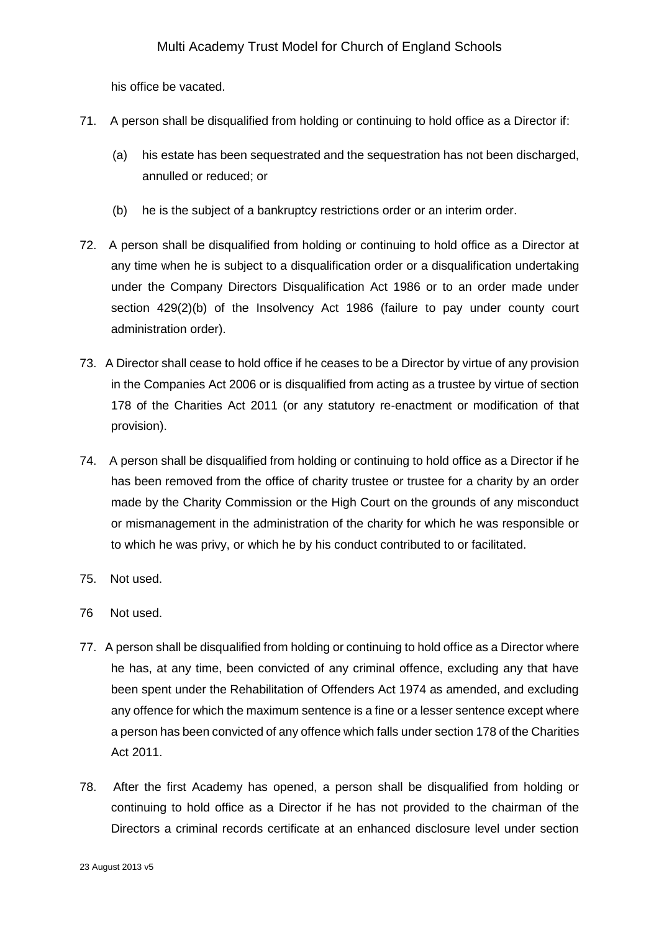his office be vacated.

- 71. A person shall be disqualified from holding or continuing to hold office as a Director if:
	- (a) his estate has been sequestrated and the sequestration has not been discharged, annulled or reduced; or
	- (b) he is the subject of a bankruptcy restrictions order or an interim order.
- 72. A person shall be disqualified from holding or continuing to hold office as a Director at any time when he is subject to a disqualification order or a disqualification undertaking under the Company Directors Disqualification Act 1986 or to an order made under section 429(2)(b) of the Insolvency Act 1986 (failure to pay under county court administration order).
- 73. A Director shall cease to hold office if he ceases to be a Director by virtue of any provision in the Companies Act 2006 or is disqualified from acting as a trustee by virtue of section 178 of the Charities Act 2011 (or any statutory re-enactment or modification of that provision).
- 74. A person shall be disqualified from holding or continuing to hold office as a Director if he has been removed from the office of charity trustee or trustee for a charity by an order made by the Charity Commission or the High Court on the grounds of any misconduct or mismanagement in the administration of the charity for which he was responsible or to which he was privy, or which he by his conduct contributed to or facilitated.
- 75. Not used.
- 76 Not used.
- 77. A person shall be disqualified from holding or continuing to hold office as a Director where he has, at any time, been convicted of any criminal offence, excluding any that have been spent under the Rehabilitation of Offenders Act 1974 as amended, and excluding any offence for which the maximum sentence is a fine or a lesser sentence except where a person has been convicted of any offence which falls under section 178 of the Charities Act 2011.
- 78. After the first Academy has opened, a person shall be disqualified from holding or continuing to hold office as a Director if he has not provided to the chairman of the Directors a criminal records certificate at an enhanced disclosure level under section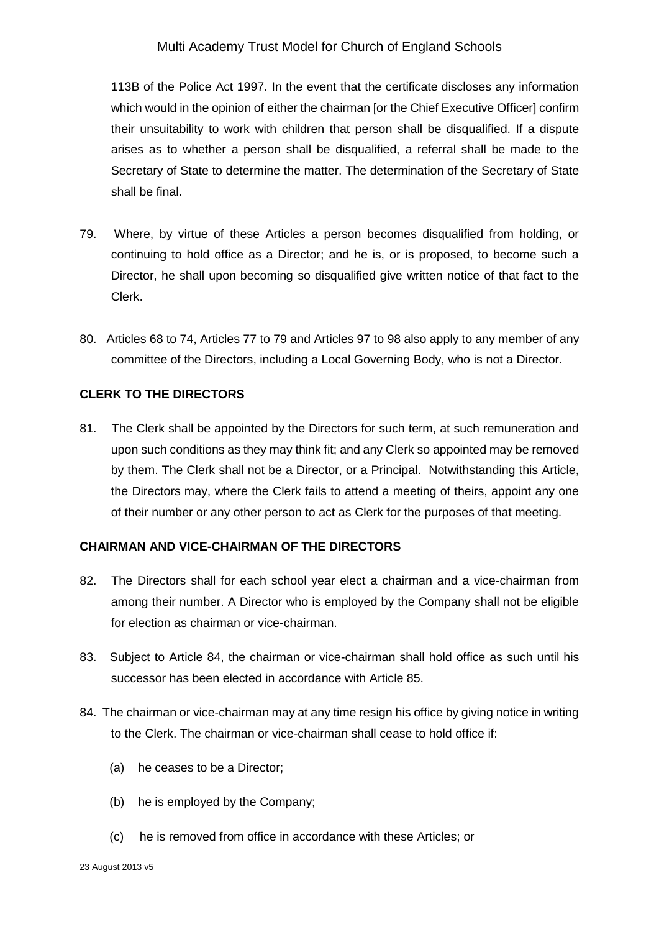113B of the Police Act 1997. In the event that the certificate discloses any information which would in the opinion of either the chairman [or the Chief Executive Officer] confirm their unsuitability to work with children that person shall be disqualified. If a dispute arises as to whether a person shall be disqualified, a referral shall be made to the Secretary of State to determine the matter. The determination of the Secretary of State shall be final.

- 79. Where, by virtue of these Articles a person becomes disqualified from holding, or continuing to hold office as a Director; and he is, or is proposed, to become such a Director, he shall upon becoming so disqualified give written notice of that fact to the Clerk.
- 80. Articles 68 to 74, Articles 77 to 79 and Articles 97 to 98 also apply to any member of any committee of the Directors, including a Local Governing Body, who is not a Director.

### **CLERK TO THE DIRECTORS**

81. The Clerk shall be appointed by the Directors for such term, at such remuneration and upon such conditions as they may think fit; and any Clerk so appointed may be removed by them. The Clerk shall not be a Director, or a Principal. Notwithstanding this Article, the Directors may, where the Clerk fails to attend a meeting of theirs, appoint any one of their number or any other person to act as Clerk for the purposes of that meeting.

### **CHAIRMAN AND VICE-CHAIRMAN OF THE DIRECTORS**

- 82. The Directors shall for each school year elect a chairman and a vice-chairman from among their number. A Director who is employed by the Company shall not be eligible for election as chairman or vice-chairman.
- 83. Subject to Article 84, the chairman or vice-chairman shall hold office as such until his successor has been elected in accordance with Article 85.
- 84. The chairman or vice-chairman may at any time resign his office by giving notice in writing to the Clerk. The chairman or vice-chairman shall cease to hold office if:
	- (a) he ceases to be a Director;
	- (b) he is employed by the Company;
	- (c) he is removed from office in accordance with these Articles; or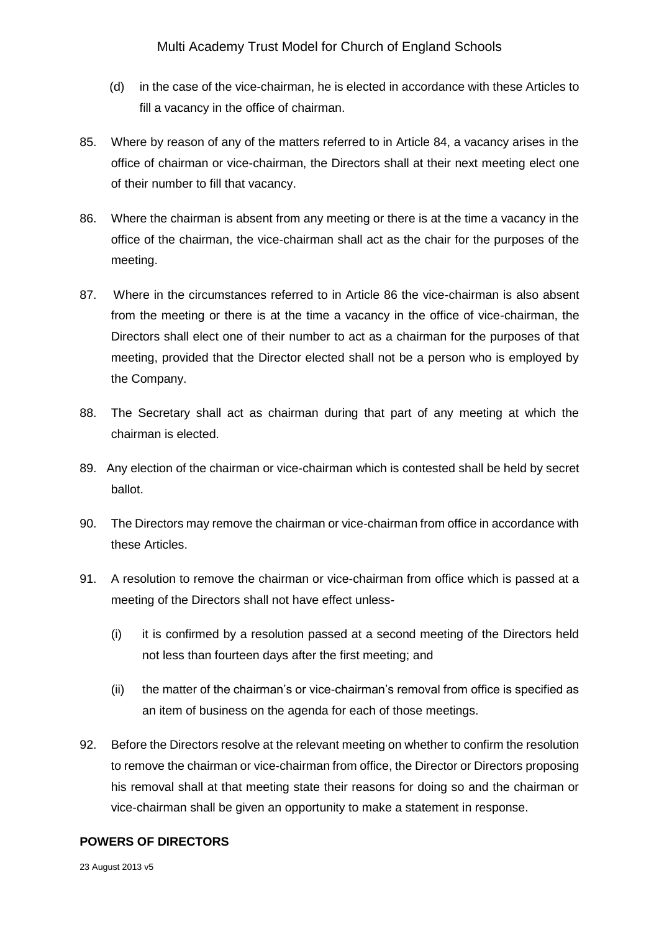- (d) in the case of the vice-chairman, he is elected in accordance with these Articles to fill a vacancy in the office of chairman.
- 85. Where by reason of any of the matters referred to in Article 84, a vacancy arises in the office of chairman or vice-chairman, the Directors shall at their next meeting elect one of their number to fill that vacancy.
- 86. Where the chairman is absent from any meeting or there is at the time a vacancy in the office of the chairman, the vice-chairman shall act as the chair for the purposes of the meeting.
- 87. Where in the circumstances referred to in Article 86 the vice-chairman is also absent from the meeting or there is at the time a vacancy in the office of vice-chairman, the Directors shall elect one of their number to act as a chairman for the purposes of that meeting, provided that the Director elected shall not be a person who is employed by the Company.
- 88. The Secretary shall act as chairman during that part of any meeting at which the chairman is elected.
- 89. Any election of the chairman or vice-chairman which is contested shall be held by secret ballot.
- 90. The Directors may remove the chairman or vice-chairman from office in accordance with these Articles.
- 91. A resolution to remove the chairman or vice-chairman from office which is passed at a meeting of the Directors shall not have effect unless-
	- (i) it is confirmed by a resolution passed at a second meeting of the Directors held not less than fourteen days after the first meeting; and
	- (ii) the matter of the chairman's or vice-chairman's removal from office is specified as an item of business on the agenda for each of those meetings.
- 92. Before the Directors resolve at the relevant meeting on whether to confirm the resolution to remove the chairman or vice-chairman from office, the Director or Directors proposing his removal shall at that meeting state their reasons for doing so and the chairman or vice-chairman shall be given an opportunity to make a statement in response.

### **POWERS OF DIRECTORS**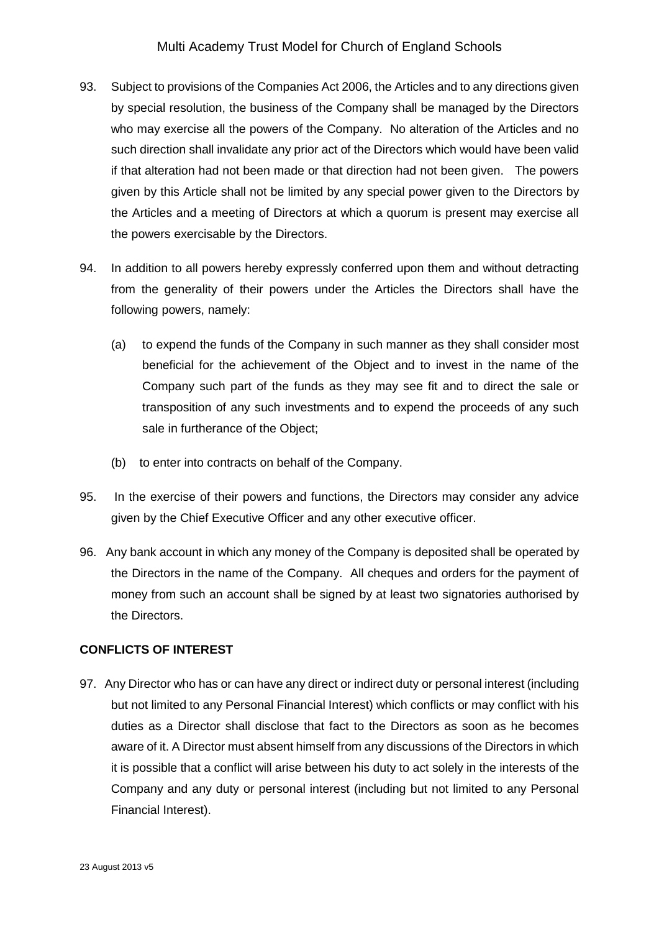- 93. Subject to provisions of the Companies Act 2006, the Articles and to any directions given by special resolution, the business of the Company shall be managed by the Directors who may exercise all the powers of the Company. No alteration of the Articles and no such direction shall invalidate any prior act of the Directors which would have been valid if that alteration had not been made or that direction had not been given. The powers given by this Article shall not be limited by any special power given to the Directors by the Articles and a meeting of Directors at which a quorum is present may exercise all the powers exercisable by the Directors.
- 94. In addition to all powers hereby expressly conferred upon them and without detracting from the generality of their powers under the Articles the Directors shall have the following powers, namely:
	- (a) to expend the funds of the Company in such manner as they shall consider most beneficial for the achievement of the Object and to invest in the name of the Company such part of the funds as they may see fit and to direct the sale or transposition of any such investments and to expend the proceeds of any such sale in furtherance of the Object;
	- (b) to enter into contracts on behalf of the Company.
- 95. In the exercise of their powers and functions, the Directors may consider any advice given by the Chief Executive Officer and any other executive officer.
- 96. Any bank account in which any money of the Company is deposited shall be operated by the Directors in the name of the Company. All cheques and orders for the payment of money from such an account shall be signed by at least two signatories authorised by the Directors.

## **CONFLICTS OF INTEREST**

97. Any Director who has or can have any direct or indirect duty or personal interest (including but not limited to any Personal Financial Interest) which conflicts or may conflict with his duties as a Director shall disclose that fact to the Directors as soon as he becomes aware of it. A Director must absent himself from any discussions of the Directors in which it is possible that a conflict will arise between his duty to act solely in the interests of the Company and any duty or personal interest (including but not limited to any Personal Financial Interest).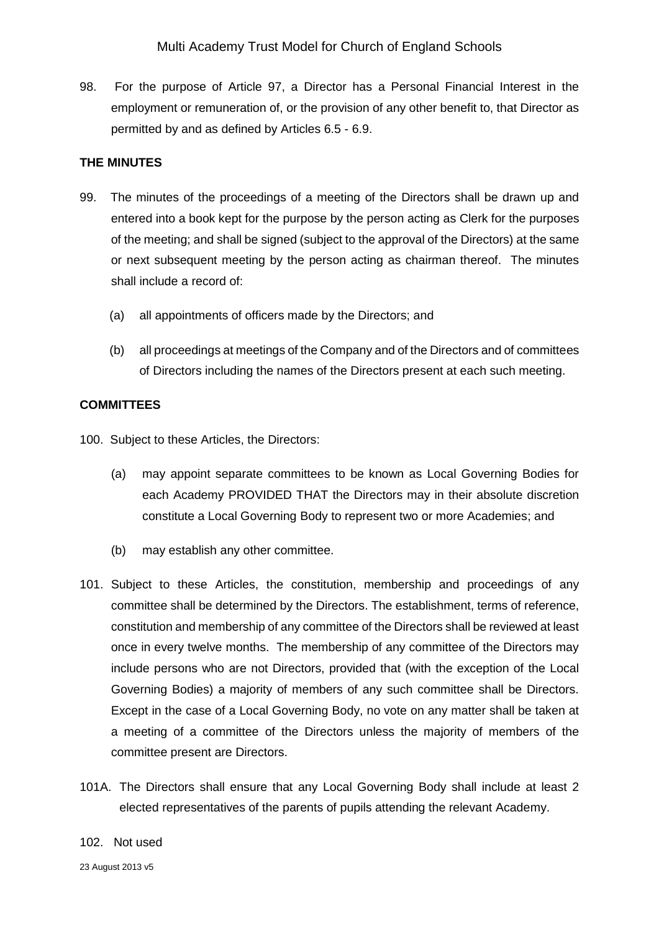98. For the purpose of Article 97, a Director has a Personal Financial Interest in the employment or remuneration of, or the provision of any other benefit to, that Director as permitted by and as defined by Articles 6.5 - 6.9.

## **THE MINUTES**

- 99. The minutes of the proceedings of a meeting of the Directors shall be drawn up and entered into a book kept for the purpose by the person acting as Clerk for the purposes of the meeting; and shall be signed (subject to the approval of the Directors) at the same or next subsequent meeting by the person acting as chairman thereof. The minutes shall include a record of:
	- (a) all appointments of officers made by the Directors; and
	- (b) all proceedings at meetings of the Company and of the Directors and of committees of Directors including the names of the Directors present at each such meeting.

### **COMMITTEES**

100. Subject to these Articles, the Directors:

- (a) may appoint separate committees to be known as Local Governing Bodies for each Academy PROVIDED THAT the Directors may in their absolute discretion constitute a Local Governing Body to represent two or more Academies; and
- (b) may establish any other committee.
- 101. Subject to these Articles, the constitution, membership and proceedings of any committee shall be determined by the Directors. The establishment, terms of reference, constitution and membership of any committee of the Directors shall be reviewed at least once in every twelve months. The membership of any committee of the Directors may include persons who are not Directors, provided that (with the exception of the Local Governing Bodies) a majority of members of any such committee shall be Directors. Except in the case of a Local Governing Body, no vote on any matter shall be taken at a meeting of a committee of the Directors unless the majority of members of the committee present are Directors.
- 101A. The Directors shall ensure that any Local Governing Body shall include at least 2 elected representatives of the parents of pupils attending the relevant Academy.

#### 102. Not used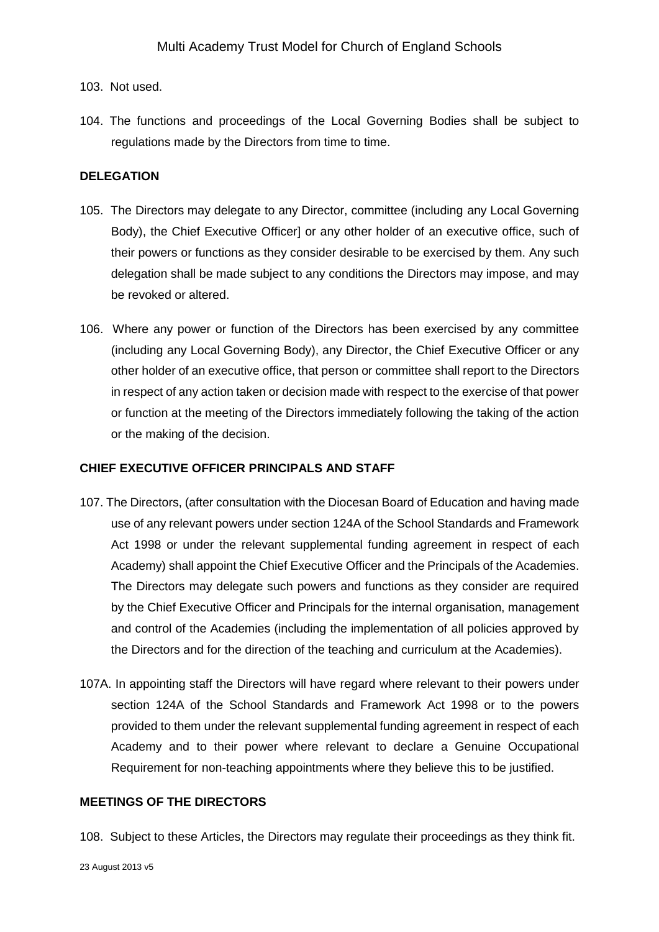### 103. Not used.

104. The functions and proceedings of the Local Governing Bodies shall be subject to regulations made by the Directors from time to time.

### **DELEGATION**

- 105. The Directors may delegate to any Director, committee (including any Local Governing Body), the Chief Executive Officer] or any other holder of an executive office, such of their powers or functions as they consider desirable to be exercised by them. Any such delegation shall be made subject to any conditions the Directors may impose, and may be revoked or altered.
- 106. Where any power or function of the Directors has been exercised by any committee (including any Local Governing Body), any Director, the Chief Executive Officer or any other holder of an executive office, that person or committee shall report to the Directors in respect of any action taken or decision made with respect to the exercise of that power or function at the meeting of the Directors immediately following the taking of the action or the making of the decision.

### **CHIEF EXECUTIVE OFFICER PRINCIPALS AND STAFF**

- 107. The Directors, (after consultation with the Diocesan Board of Education and having made use of any relevant powers under section 124A of the School Standards and Framework Act 1998 or under the relevant supplemental funding agreement in respect of each Academy) shall appoint the Chief Executive Officer and the Principals of the Academies. The Directors may delegate such powers and functions as they consider are required by the Chief Executive Officer and Principals for the internal organisation, management and control of the Academies (including the implementation of all policies approved by the Directors and for the direction of the teaching and curriculum at the Academies).
- 107A. In appointing staff the Directors will have regard where relevant to their powers under section 124A of the School Standards and Framework Act 1998 or to the powers provided to them under the relevant supplemental funding agreement in respect of each Academy and to their power where relevant to declare a Genuine Occupational Requirement for non-teaching appointments where they believe this to be justified.

### **MEETINGS OF THE DIRECTORS**

108. Subject to these Articles, the Directors may regulate their proceedings as they think fit.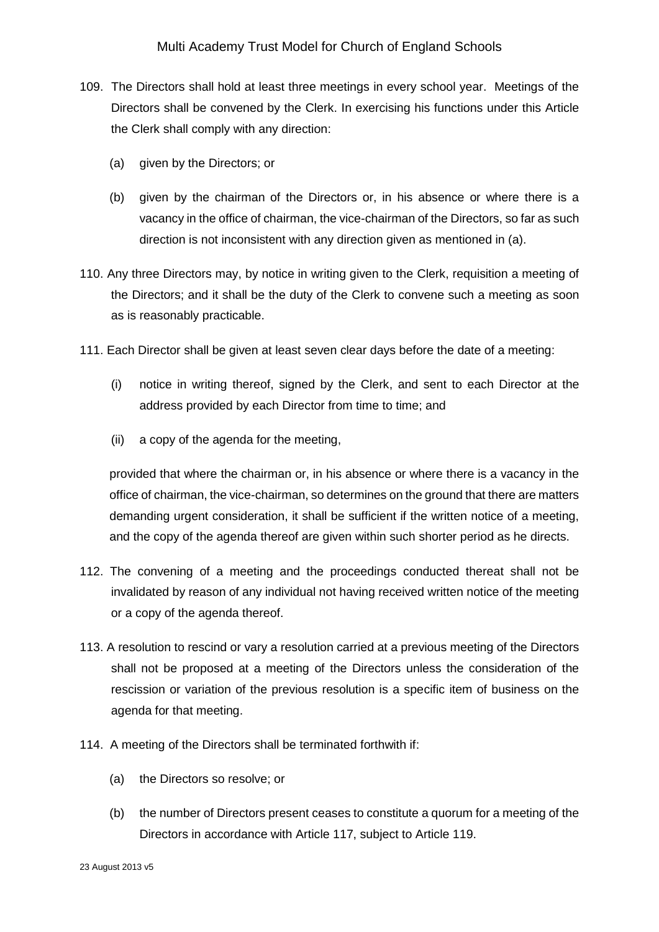- 109. The Directors shall hold at least three meetings in every school year. Meetings of the Directors shall be convened by the Clerk. In exercising his functions under this Article the Clerk shall comply with any direction:
	- (a) given by the Directors; or
	- (b) given by the chairman of the Directors or, in his absence or where there is a vacancy in the office of chairman, the vice-chairman of the Directors, so far as such direction is not inconsistent with any direction given as mentioned in (a).
- 110. Any three Directors may, by notice in writing given to the Clerk, requisition a meeting of the Directors; and it shall be the duty of the Clerk to convene such a meeting as soon as is reasonably practicable.
- 111. Each Director shall be given at least seven clear days before the date of a meeting:
	- (i) notice in writing thereof, signed by the Clerk, and sent to each Director at the address provided by each Director from time to time; and
	- (ii) a copy of the agenda for the meeting,

provided that where the chairman or, in his absence or where there is a vacancy in the office of chairman, the vice-chairman, so determines on the ground that there are matters demanding urgent consideration, it shall be sufficient if the written notice of a meeting, and the copy of the agenda thereof are given within such shorter period as he directs.

- 112. The convening of a meeting and the proceedings conducted thereat shall not be invalidated by reason of any individual not having received written notice of the meeting or a copy of the agenda thereof.
- 113. A resolution to rescind or vary a resolution carried at a previous meeting of the Directors shall not be proposed at a meeting of the Directors unless the consideration of the rescission or variation of the previous resolution is a specific item of business on the agenda for that meeting.
- 114. A meeting of the Directors shall be terminated forthwith if:
	- (a) the Directors so resolve; or
	- (b) the number of Directors present ceases to constitute a quorum for a meeting of the Directors in accordance with Article 117, subject to Article 119.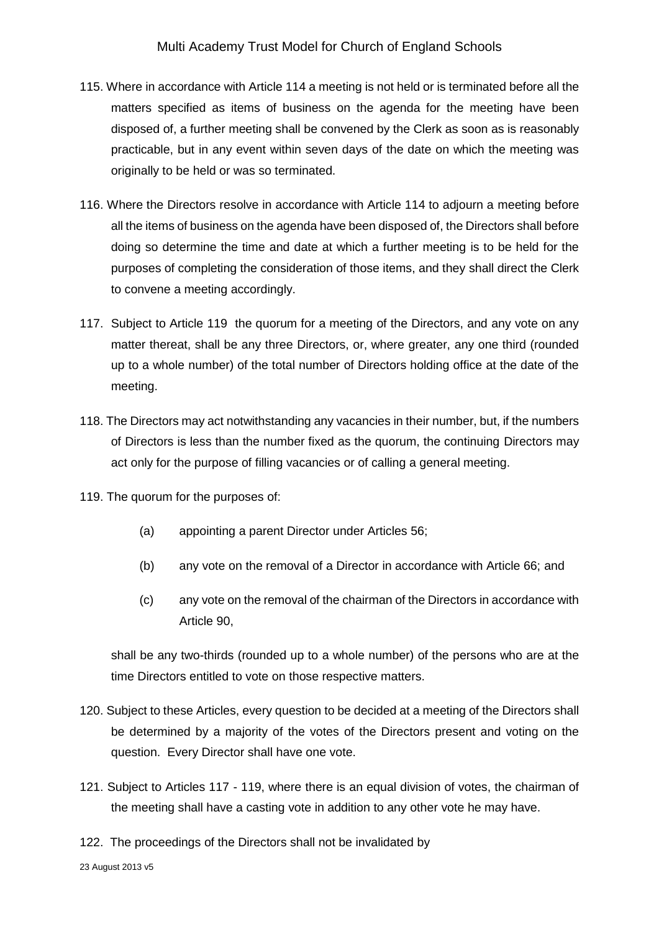- 115. Where in accordance with Article 114 a meeting is not held or is terminated before all the matters specified as items of business on the agenda for the meeting have been disposed of, a further meeting shall be convened by the Clerk as soon as is reasonably practicable, but in any event within seven days of the date on which the meeting was originally to be held or was so terminated.
- 116. Where the Directors resolve in accordance with Article 114 to adjourn a meeting before all the items of business on the agenda have been disposed of, the Directors shall before doing so determine the time and date at which a further meeting is to be held for the purposes of completing the consideration of those items, and they shall direct the Clerk to convene a meeting accordingly.
- 117. Subject to Article 119 the quorum for a meeting of the Directors, and any vote on any matter thereat, shall be any three Directors, or, where greater, any one third (rounded up to a whole number) of the total number of Directors holding office at the date of the meeting.
- 118. The Directors may act notwithstanding any vacancies in their number, but, if the numbers of Directors is less than the number fixed as the quorum, the continuing Directors may act only for the purpose of filling vacancies or of calling a general meeting.
- 119. The quorum for the purposes of:
	- (a) appointing a parent Director under Articles 56;
	- (b) any vote on the removal of a Director in accordance with Article 66; and
	- (c) any vote on the removal of the chairman of the Directors in accordance with Article 90,

shall be any two-thirds (rounded up to a whole number) of the persons who are at the time Directors entitled to vote on those respective matters.

- 120. Subject to these Articles, every question to be decided at a meeting of the Directors shall be determined by a majority of the votes of the Directors present and voting on the question. Every Director shall have one vote.
- 121. Subject to Articles 117 119, where there is an equal division of votes, the chairman of the meeting shall have a casting vote in addition to any other vote he may have.
- 122. The proceedings of the Directors shall not be invalidated by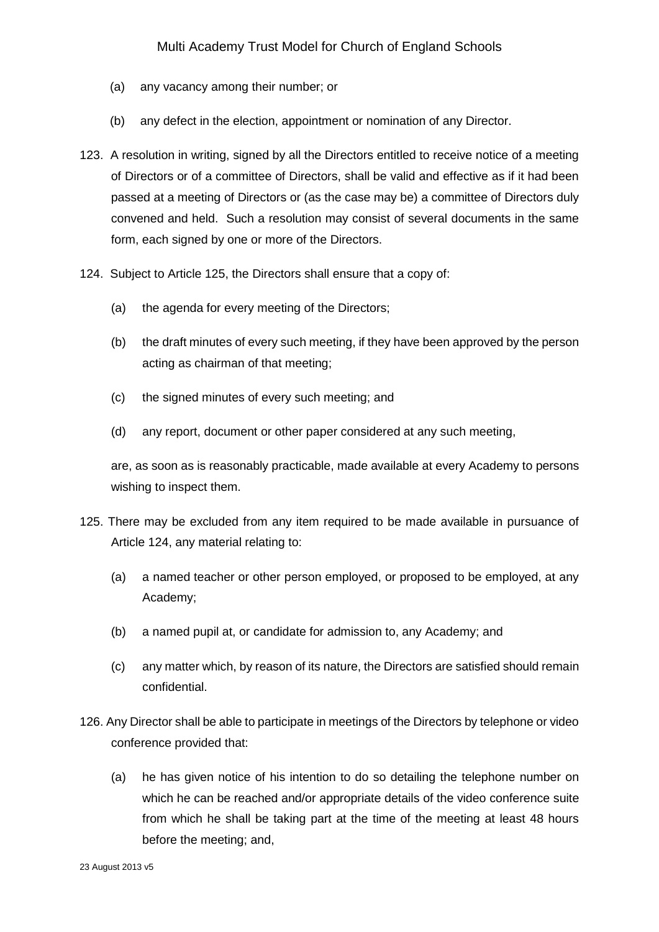- (a) any vacancy among their number; or
- (b) any defect in the election, appointment or nomination of any Director.
- 123. A resolution in writing, signed by all the Directors entitled to receive notice of a meeting of Directors or of a committee of Directors, shall be valid and effective as if it had been passed at a meeting of Directors or (as the case may be) a committee of Directors duly convened and held. Such a resolution may consist of several documents in the same form, each signed by one or more of the Directors.
- 124. Subject to Article 125, the Directors shall ensure that a copy of:
	- (a) the agenda for every meeting of the Directors;
	- (b) the draft minutes of every such meeting, if they have been approved by the person acting as chairman of that meeting;
	- (c) the signed minutes of every such meeting; and
	- (d) any report, document or other paper considered at any such meeting,

are, as soon as is reasonably practicable, made available at every Academy to persons wishing to inspect them.

- 125. There may be excluded from any item required to be made available in pursuance of Article 124, any material relating to:
	- (a) a named teacher or other person employed, or proposed to be employed, at any Academy;
	- (b) a named pupil at, or candidate for admission to, any Academy; and
	- (c) any matter which, by reason of its nature, the Directors are satisfied should remain confidential.
- 126. Any Director shall be able to participate in meetings of the Directors by telephone or video conference provided that:
	- (a) he has given notice of his intention to do so detailing the telephone number on which he can be reached and/or appropriate details of the video conference suite from which he shall be taking part at the time of the meeting at least 48 hours before the meeting; and,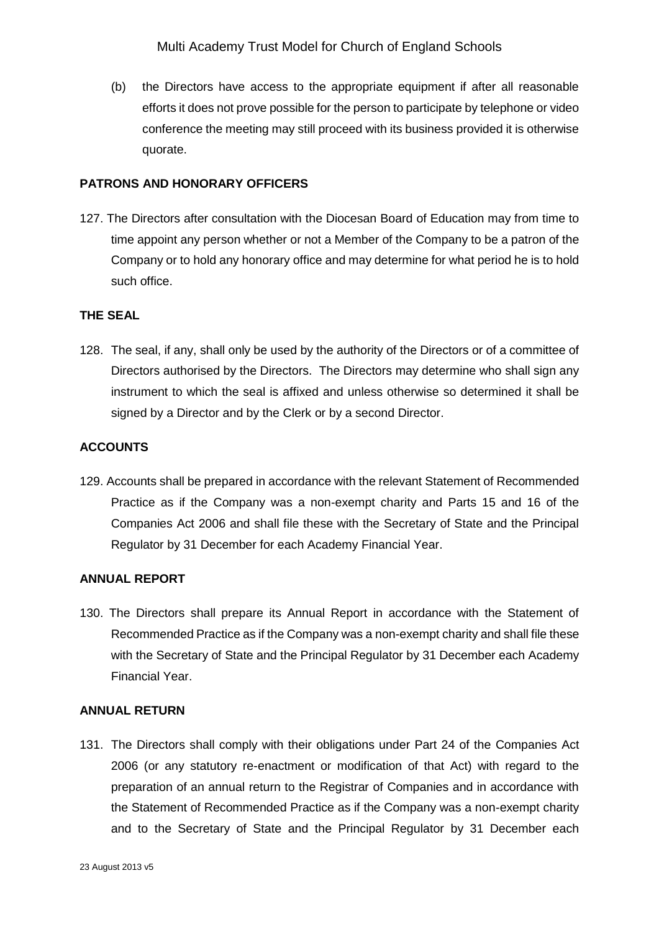(b) the Directors have access to the appropriate equipment if after all reasonable efforts it does not prove possible for the person to participate by telephone or video conference the meeting may still proceed with its business provided it is otherwise quorate.

### **PATRONS AND HONORARY OFFICERS**

127. The Directors after consultation with the Diocesan Board of Education may from time to time appoint any person whether or not a Member of the Company to be a patron of the Company or to hold any honorary office and may determine for what period he is to hold such office.

## **THE SEAL**

128. The seal, if any, shall only be used by the authority of the Directors or of a committee of Directors authorised by the Directors. The Directors may determine who shall sign any instrument to which the seal is affixed and unless otherwise so determined it shall be signed by a Director and by the Clerk or by a second Director.

## **ACCOUNTS**

129. Accounts shall be prepared in accordance with the relevant Statement of Recommended Practice as if the Company was a non-exempt charity and Parts 15 and 16 of the Companies Act 2006 and shall file these with the Secretary of State and the Principal Regulator by 31 December for each Academy Financial Year.

## **ANNUAL REPORT**

130. The Directors shall prepare its Annual Report in accordance with the Statement of Recommended Practice as if the Company was a non-exempt charity and shall file these with the Secretary of State and the Principal Regulator by 31 December each Academy Financial Year.

### **ANNUAL RETURN**

131. The Directors shall comply with their obligations under Part 24 of the Companies Act 2006 (or any statutory re-enactment or modification of that Act) with regard to the preparation of an annual return to the Registrar of Companies and in accordance with the Statement of Recommended Practice as if the Company was a non-exempt charity and to the Secretary of State and the Principal Regulator by 31 December each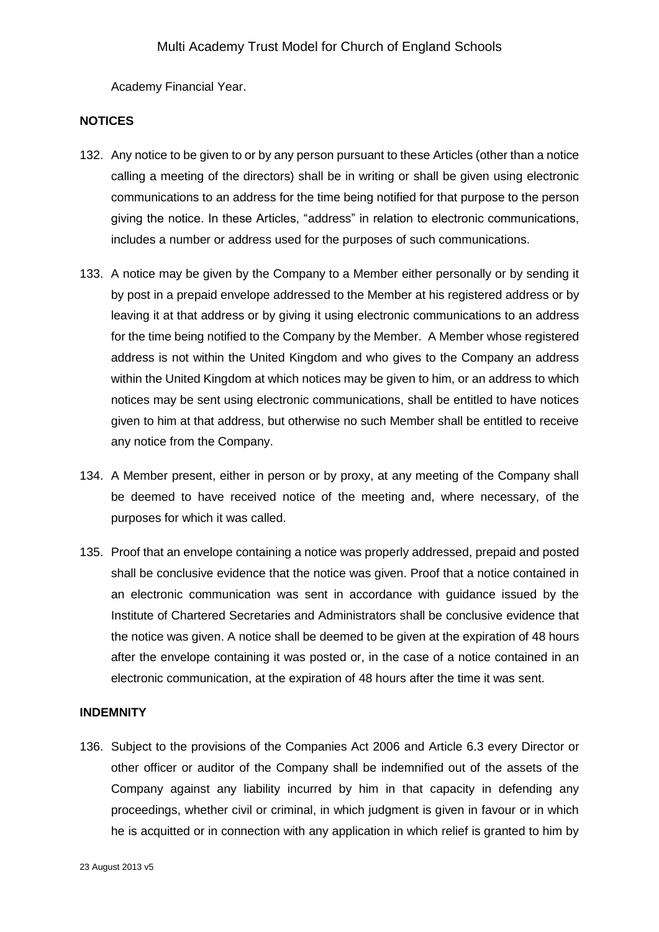Academy Financial Year.

### **NOTICES**

- 132. Any notice to be given to or by any person pursuant to these Articles (other than a notice calling a meeting of the directors) shall be in writing or shall be given using electronic communications to an address for the time being notified for that purpose to the person giving the notice. In these Articles, "address" in relation to electronic communications, includes a number or address used for the purposes of such communications.
- 133. A notice may be given by the Company to a Member either personally or by sending it by post in a prepaid envelope addressed to the Member at his registered address or by leaving it at that address or by giving it using electronic communications to an address for the time being notified to the Company by the Member. A Member whose registered address is not within the United Kingdom and who gives to the Company an address within the United Kingdom at which notices may be given to him, or an address to which notices may be sent using electronic communications, shall be entitled to have notices given to him at that address, but otherwise no such Member shall be entitled to receive any notice from the Company.
- 134. A Member present, either in person or by proxy, at any meeting of the Company shall be deemed to have received notice of the meeting and, where necessary, of the purposes for which it was called.
- 135. Proof that an envelope containing a notice was properly addressed, prepaid and posted shall be conclusive evidence that the notice was given. Proof that a notice contained in an electronic communication was sent in accordance with guidance issued by the Institute of Chartered Secretaries and Administrators shall be conclusive evidence that the notice was given. A notice shall be deemed to be given at the expiration of 48 hours after the envelope containing it was posted or, in the case of a notice contained in an electronic communication, at the expiration of 48 hours after the time it was sent.

### **INDEMNITY**

136. Subject to the provisions of the Companies Act 2006 and Article 6.3 every Director or other officer or auditor of the Company shall be indemnified out of the assets of the Company against any liability incurred by him in that capacity in defending any proceedings, whether civil or criminal, in which judgment is given in favour or in which he is acquitted or in connection with any application in which relief is granted to him by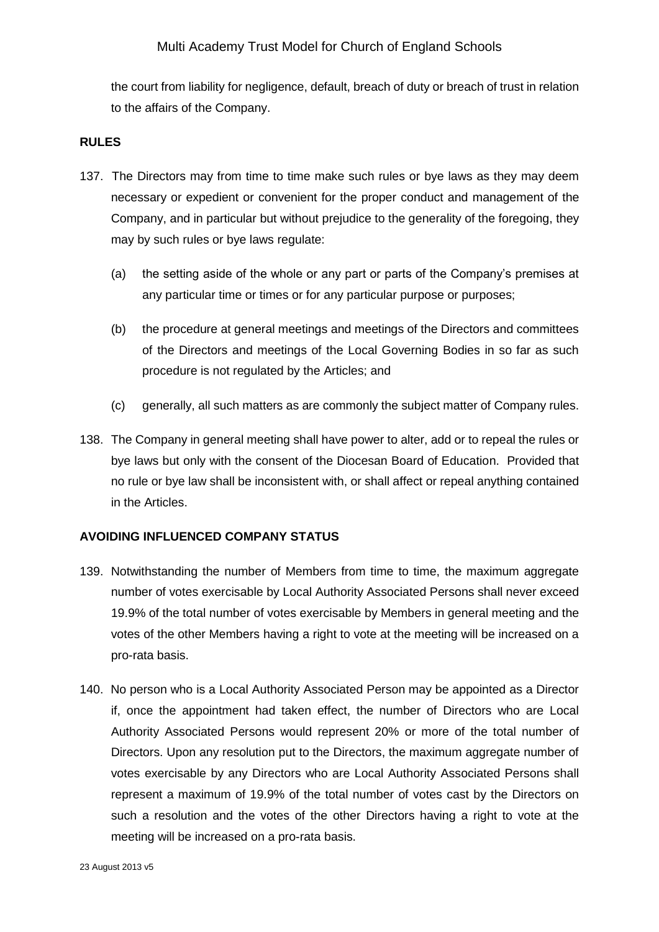the court from liability for negligence, default, breach of duty or breach of trust in relation to the affairs of the Company.

### **RULES**

- 137. The Directors may from time to time make such rules or bye laws as they may deem necessary or expedient or convenient for the proper conduct and management of the Company, and in particular but without prejudice to the generality of the foregoing, they may by such rules or bye laws regulate:
	- (a) the setting aside of the whole or any part or parts of the Company's premises at any particular time or times or for any particular purpose or purposes;
	- (b) the procedure at general meetings and meetings of the Directors and committees of the Directors and meetings of the Local Governing Bodies in so far as such procedure is not regulated by the Articles; and
	- (c) generally, all such matters as are commonly the subject matter of Company rules.
- 138. The Company in general meeting shall have power to alter, add or to repeal the rules or bye laws but only with the consent of the Diocesan Board of Education. Provided that no rule or bye law shall be inconsistent with, or shall affect or repeal anything contained in the Articles.

### **AVOIDING INFLUENCED COMPANY STATUS**

- 139. Notwithstanding the number of Members from time to time, the maximum aggregate number of votes exercisable by Local Authority Associated Persons shall never exceed 19.9% of the total number of votes exercisable by Members in general meeting and the votes of the other Members having a right to vote at the meeting will be increased on a pro-rata basis.
- 140. No person who is a Local Authority Associated Person may be appointed as a Director if, once the appointment had taken effect, the number of Directors who are Local Authority Associated Persons would represent 20% or more of the total number of Directors. Upon any resolution put to the Directors, the maximum aggregate number of votes exercisable by any Directors who are Local Authority Associated Persons shall represent a maximum of 19.9% of the total number of votes cast by the Directors on such a resolution and the votes of the other Directors having a right to vote at the meeting will be increased on a pro-rata basis.